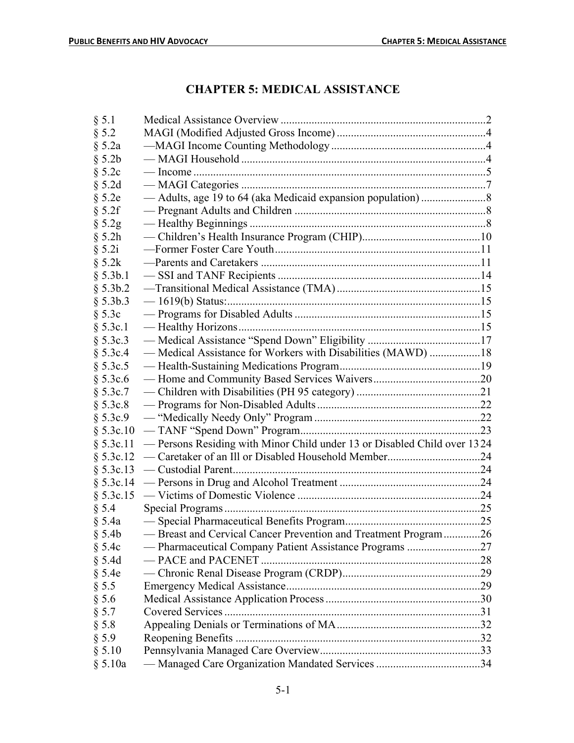# **CHAPTER 5: MEDICAL ASSISTANCE**

| § 5.1        |                                                                          |  |
|--------------|--------------------------------------------------------------------------|--|
| § 5.2        |                                                                          |  |
| $§$ 5.2a     |                                                                          |  |
| § 5.2b       |                                                                          |  |
| § 5.2c       |                                                                          |  |
| $§$ 5.2d     |                                                                          |  |
| $§$ 5.2e     |                                                                          |  |
| § 5.2f       |                                                                          |  |
| $§$ 5.2g     |                                                                          |  |
| § 5.2h       |                                                                          |  |
| § 5.2i       |                                                                          |  |
| $\S$ 5.2 $k$ |                                                                          |  |
| § 5.3b.1     |                                                                          |  |
| § 5.3b.2     |                                                                          |  |
| § 5.3b.3     |                                                                          |  |
| § 5.3c       |                                                                          |  |
| § 5.3c.1     |                                                                          |  |
| § 5.3c.3     |                                                                          |  |
| § 5.3c.4     | - Medical Assistance for Workers with Disabilities (MAWD) 18             |  |
| § 5.3c.5     |                                                                          |  |
| § 5.3c.6     |                                                                          |  |
| § 5.3c.7     |                                                                          |  |
| § 5.3c.8     |                                                                          |  |
| § 5.3c.9     |                                                                          |  |
| § 5.3c.10    |                                                                          |  |
| § 5.3c.11    | - Persons Residing with Minor Child under 13 or Disabled Child over 1324 |  |
| § 5.3c.12    |                                                                          |  |
| § 5.3c.13    |                                                                          |  |
|              |                                                                          |  |
| § 5.3c.15    |                                                                          |  |
| $\S$ 5.4     |                                                                          |  |
| § 5.4a       |                                                                          |  |
| $§$ 5.4b     | - Breast and Cervical Cancer Prevention and Treatment Program26          |  |
| § 5.4c       |                                                                          |  |
| $§$ 5.4d     |                                                                          |  |
| § 5.4e       |                                                                          |  |
| § 5.5        |                                                                          |  |
| § 5.6        |                                                                          |  |
| § 5.7        |                                                                          |  |
| § 5.8        |                                                                          |  |
| § 5.9        |                                                                          |  |
| § 5.10       |                                                                          |  |
| § 5.10a      |                                                                          |  |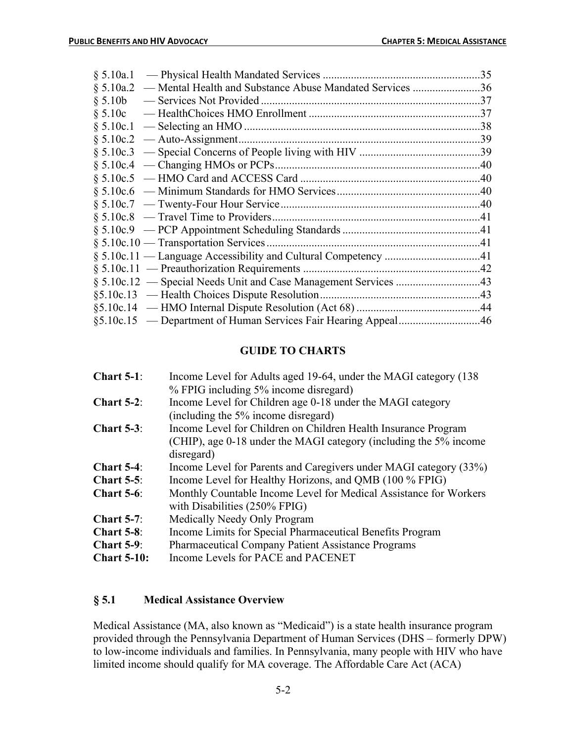|                                        | 35  |
|----------------------------------------|-----|
| \$5.10a.2\$                            | .36 |
| $§ 5.10b$ — Services Not Provided.     | .37 |
|                                        |     |
|                                        | .38 |
| $§ 5.10c.2$ — Auto-Assignment          | .39 |
|                                        |     |
|                                        |     |
|                                        |     |
|                                        |     |
|                                        |     |
|                                        |     |
|                                        |     |
| $§ 5.10c.10$ — Transportation Services |     |
|                                        |     |
|                                        |     |
|                                        |     |
|                                        |     |
|                                        |     |
|                                        |     |
|                                        |     |

## **GUIDE TO CHARTS**

| Chart $5-1$ :      | Income Level for Adults aged 19-64, under the MAGI category (138) |  |
|--------------------|-------------------------------------------------------------------|--|
|                    | % FPIG including 5% income disregard)                             |  |
| Chart $5-2$ :      | Income Level for Children age 0-18 under the MAGI category        |  |
|                    | (including the 5% income disregard)                               |  |
| Chart $5-3$ :      | Income Level for Children on Children Health Insurance Program    |  |
|                    | (CHIP), age 0-18 under the MAGI category (including the 5% income |  |
|                    | disregard)                                                        |  |
| Chart $5-4$ :      | Income Level for Parents and Caregivers under MAGI category (33%) |  |
| Chart $5-5$ :      | Income Level for Healthy Horizons, and QMB (100 % FPIG)           |  |
| <b>Chart 5-6:</b>  | Monthly Countable Income Level for Medical Assistance for Workers |  |
|                    | with Disabilities (250% FPIG)                                     |  |
| Chart $5-7$ :      | Medically Needy Only Program                                      |  |
| Chart $5-8$ :      | Income Limits for Special Pharmaceutical Benefits Program         |  |
| Chart $5-9$ :      | <b>Pharmaceutical Company Patient Assistance Programs</b>         |  |
| <b>Chart 5-10:</b> | Income Levels for PACE and PACENET                                |  |

## **§ 5.1 Medical Assistance Overview**

Medical Assistance (MA, also known as "Medicaid") is a state health insurance program provided through the Pennsylvania Department of Human Services (DHS – formerly DPW) to low-income individuals and families. In Pennsylvania, many people with HIV who have limited income should qualify for MA coverage. The Affordable Care Act (ACA)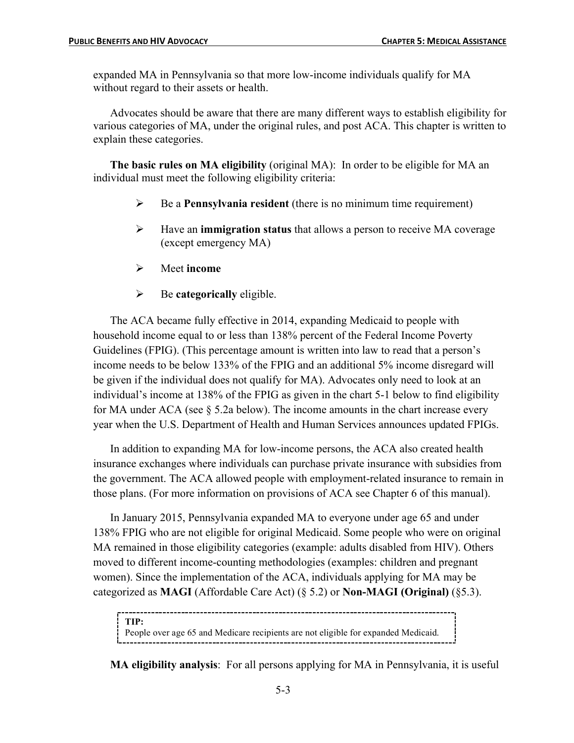expanded MA in Pennsylvania so that more low-income individuals qualify for MA without regard to their assets or health.

Advocates should be aware that there are many different ways to establish eligibility for various categories of MA, under the original rules, and post ACA. This chapter is written to explain these categories.

**The basic rules on MA eligibility** (original MA): In order to be eligible for MA an individual must meet the following eligibility criteria:

- $\triangleright$  Be a **Pennsylvania resident** (there is no minimum time requirement)
- Ø Have an **immigration status** that allows a person to receive MA coverage (except emergency MA)
- Ø Meet **income**
- Ø Be **categorically** eligible.

The ACA became fully effective in 2014, expanding Medicaid to people with household income equal to or less than 138% percent of the Federal Income Poverty Guidelines (FPIG). (This percentage amount is written into law to read that a person's income needs to be below 133% of the FPIG and an additional 5% income disregard will be given if the individual does not qualify for MA). Advocates only need to look at an individual's income at 138% of the FPIG as given in the chart 5-1 below to find eligibility for MA under ACA (see § 5.2a below). The income amounts in the chart increase every year when the U.S. Department of Health and Human Services announces updated FPIGs.

In addition to expanding MA for low-income persons, the ACA also created health insurance exchanges where individuals can purchase private insurance with subsidies from the government. The ACA allowed people with employment-related insurance to remain in those plans. (For more information on provisions of ACA see Chapter 6 of this manual).

In January 2015, Pennsylvania expanded MA to everyone under age 65 and under 138% FPIG who are not eligible for original Medicaid. Some people who were on original MA remained in those eligibility categories (example: adults disabled from HIV). Others moved to different income-counting methodologies (examples: children and pregnant women). Since the implementation of the ACA, individuals applying for MA may be categorized as **MAGI** (Affordable Care Act) (§ 5.2) or **Non-MAGI (Original)** (§5.3).

```
TIP:
People over age 65 and Medicare recipients are not eligible for expanded Medicaid.
```
**MA eligibility analysis**: For all persons applying for MA in Pennsylvania, it is useful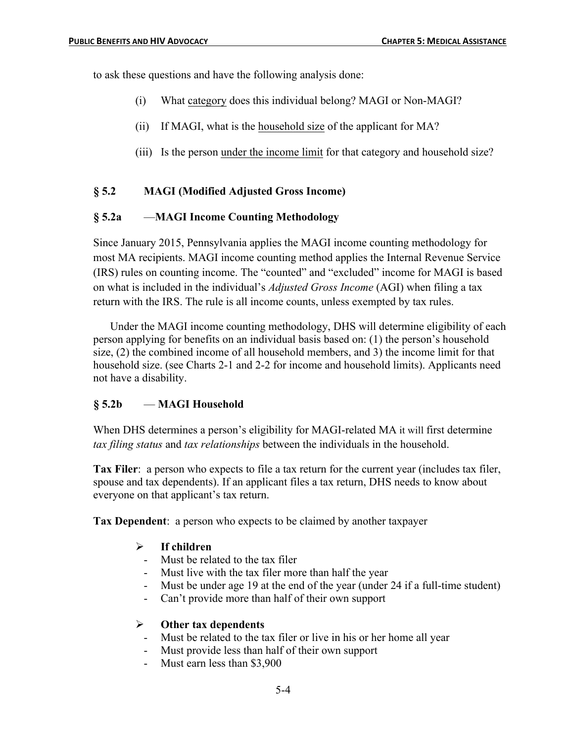to ask these questions and have the following analysis done:

- (i) What category does this individual belong? MAGI or Non-MAGI?
- (ii) If MAGI, what is the household size of the applicant for MA?
- (iii) Is the person under the income limit for that category and household size?

## **§ 5.2 MAGI (Modified Adjusted Gross Income)**

## **§ 5.2a** —**MAGI Income Counting Methodology**

Since January 2015, Pennsylvania applies the MAGI income counting methodology for most MA recipients. MAGI income counting method applies the Internal Revenue Service (IRS) rules on counting income. The "counted" and "excluded" income for MAGI is based on what is included in the individual's *Adjusted Gross Income* (AGI) when filing a tax return with the IRS. The rule is all income counts, unless exempted by tax rules.

Under the MAGI income counting methodology, DHS will determine eligibility of each person applying for benefits on an individual basis based on: (1) the person's household size, (2) the combined income of all household members, and 3) the income limit for that household size. (see Charts 2-1 and 2-2 for income and household limits). Applicants need not have a disability.

## **§ 5.2b** — **MAGI Household**

When DHS determines a person's eligibility for MAGI-related MA it will first determine *tax filing status* and *tax relationships* between the individuals in the household.

**Tax Filer**: a person who expects to file a tax return for the current year (includes tax filer, spouse and tax dependents). If an applicant files a tax return, DHS needs to know about everyone on that applicant's tax return.

**Tax Dependent**: a person who expects to be claimed by another taxpayer

### Ø **If children**

- Must be related to the tax filer
- Must live with the tax filer more than half the year
- Must be under age 19 at the end of the year (under 24 if a full-time student)
- Can't provide more than half of their own support

### Ø **Other tax dependents**

- Must be related to the tax filer or live in his or her home all year
- Must provide less than half of their own support
- Must earn less than \$3,900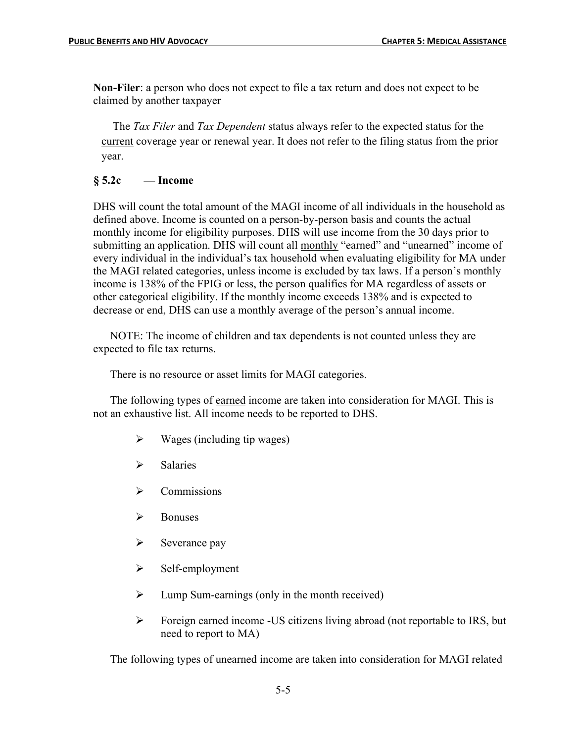**Non-Filer**: a person who does not expect to file a tax return and does not expect to be claimed by another taxpayer

The *Tax Filer* and *Tax Dependent* status always refer to the expected status for the current coverage year or renewal year. It does not refer to the filing status from the prior year.

## **§ 5.2c — Income**

DHS will count the total amount of the MAGI income of all individuals in the household as defined above. Income is counted on a person-by-person basis and counts the actual monthly income for eligibility purposes. DHS will use income from the 30 days prior to submitting an application. DHS will count all monthly "earned" and "unearned" income of every individual in the individual's tax household when evaluating eligibility for MA under the MAGI related categories, unless income is excluded by tax laws. If a person's monthly income is 138% of the FPIG or less, the person qualifies for MA regardless of assets or other categorical eligibility. If the monthly income exceeds 138% and is expected to decrease or end, DHS can use a monthly average of the person's annual income.

NOTE: The income of children and tax dependents is not counted unless they are expected to file tax returns.

There is no resource or asset limits for MAGI categories.

The following types of earned income are taken into consideration for MAGI. This is not an exhaustive list. All income needs to be reported to DHS.

- $\triangleright$  Wages (including tip wages)
- $\triangleright$  Salaries
- $\triangleright$  Commissions
- $\triangleright$  Bonuses
- $\triangleright$  Severance pay
- $\triangleright$  Self-employment
- $\triangleright$  Lump Sum-earnings (only in the month received)
- Ø Foreign earned income -US citizens living abroad (not reportable to IRS, but need to report to MA)

The following types of unearned income are taken into consideration for MAGI related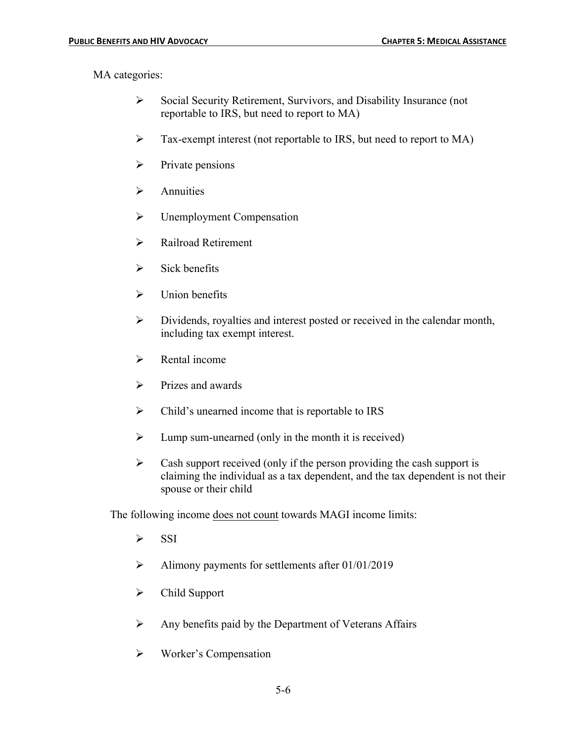MA categories:

- Ø Social Security Retirement, Survivors, and Disability Insurance (not reportable to IRS, but need to report to MA)
- Ø Tax-exempt interest (not reportable to IRS, but need to report to MA)
- $\triangleright$  Private pensions
- $\triangleright$  Annuities
- $\triangleright$  Unemployment Compensation
- $\triangleright$  Railroad Retirement
- $\triangleright$  Sick benefits
- $\triangleright$  Union benefits
- $\triangleright$  Dividends, royalties and interest posted or received in the calendar month, including tax exempt interest.
- $\triangleright$  Rental income
- $\triangleright$  Prizes and awards
- $\triangleright$  Child's unearned income that is reportable to IRS
- $\triangleright$  Lump sum-unearned (only in the month it is received)
- $\triangleright$  Cash support received (only if the person providing the cash support is claiming the individual as a tax dependent, and the tax dependent is not their spouse or their child

The following income does not count towards MAGI income limits:

- $\triangleright$  SSI
- $\blacktriangleright$  Alimony payments for settlements after 01/01/2019
- $\triangleright$  Child Support
- $\triangleright$  Any benefits paid by the Department of Veterans Affairs
- $\triangleright$  Worker's Compensation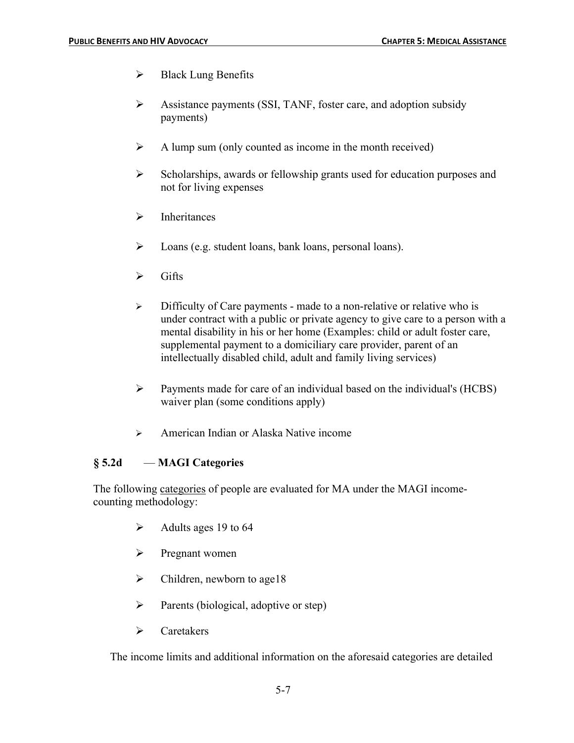- $\triangleright$  Black Lung Benefits
- $\triangleright$  Assistance payments (SSI, TANF, foster care, and adoption subsidy payments)
- $\triangleright$  A lump sum (only counted as income in the month received)
- $\triangleright$  Scholarships, awards or fellowship grants used for education purposes and not for living expenses
- $\triangleright$  Inheritances
- Ø Loans (e.g. student loans, bank loans, personal loans).
- $\triangleright$  Gifts
- $\triangleright$  Difficulty of Care payments made to a non-relative or relative who is under contract with a public or private agency to give care to a person with a mental disability in his or her home (Examples: child or adult foster care, supplemental payment to a domiciliary care provider, parent of an intellectually disabled child, adult and family living services)
- $\triangleright$  Payments made for care of an individual based on the individual's (HCBS) waiver plan (some conditions apply)
- $\triangleright$  American Indian or Alaska Native income

## **§ 5.2d** — **MAGI Categories**

The following categories of people are evaluated for MA under the MAGI incomecounting methodology:

- $\blacktriangleright$  Adults ages 19 to 64
- $\triangleright$  Pregnant women
- $\triangleright$  Children, newborn to age 18
- $\triangleright$  Parents (biological, adoptive or step)
- $\triangleright$  Caretakers

The income limits and additional information on the aforesaid categories are detailed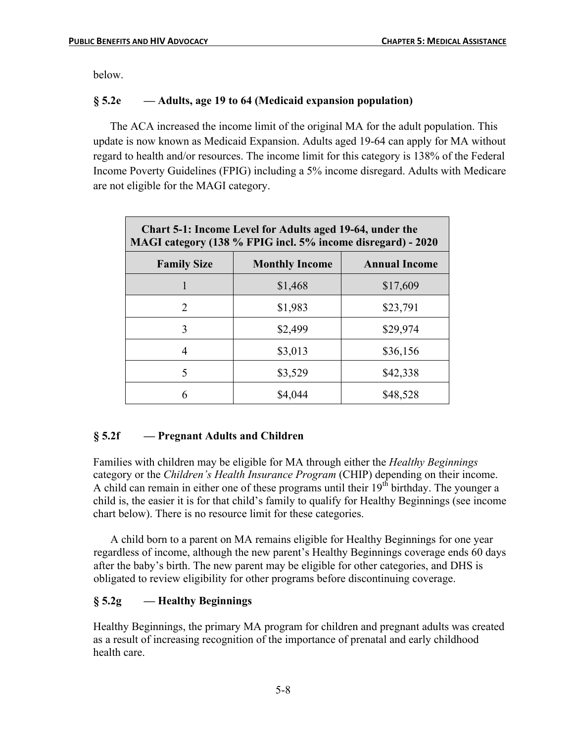below.

## **§ 5.2e — Adults, age 19 to 64 (Medicaid expansion population)**

The ACA increased the income limit of the original MA for the adult population. This update is now known as Medicaid Expansion. Adults aged 19-64 can apply for MA without regard to health and/or resources. The income limit for this category is 138% of the Federal Income Poverty Guidelines (FPIG) including a 5% income disregard. Adults with Medicare are not eligible for the MAGI category.

| Chart 5-1: Income Level for Adults aged 19-64, under the<br>MAGI category (138 % FPIG incl. 5% income disregard) - 2020 |                       |                      |  |
|-------------------------------------------------------------------------------------------------------------------------|-----------------------|----------------------|--|
| <b>Family Size</b>                                                                                                      | <b>Monthly Income</b> | <b>Annual Income</b> |  |
|                                                                                                                         | \$1,468               | \$17,609             |  |
| $\mathcal{D}_{\mathcal{L}}$                                                                                             | \$1,983               | \$23,791             |  |
| 3                                                                                                                       | \$2,499               | \$29,974             |  |
| 4                                                                                                                       | \$3,013               | \$36,156             |  |
| 5                                                                                                                       | \$3,529               | \$42,338             |  |
| 6                                                                                                                       | \$4,044               | \$48,528             |  |

## **§ 5.2f — Pregnant Adults and Children**

Families with children may be eligible for MA through either the *Healthy Beginnings* category or the *Children's Health Insurance Program* (CHIP) depending on their income. A child can remain in either one of these programs until their 19<sup>th</sup> birthday. The younger a child is, the easier it is for that child's family to qualify for Healthy Beginnings (see income chart below). There is no resource limit for these categories.

A child born to a parent on MA remains eligible for Healthy Beginnings for one year regardless of income, although the new parent's Healthy Beginnings coverage ends 60 days after the baby's birth. The new parent may be eligible for other categories, and DHS is obligated to review eligibility for other programs before discontinuing coverage.

## **§ 5.2g — Healthy Beginnings**

Healthy Beginnings, the primary MA program for children and pregnant adults was created as a result of increasing recognition of the importance of prenatal and early childhood health care.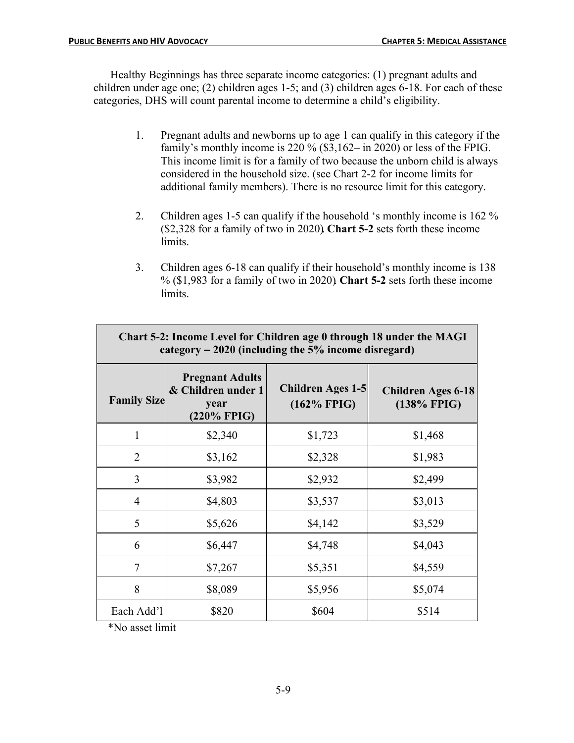Healthy Beginnings has three separate income categories: (1) pregnant adults and children under age one; (2) children ages 1-5; and (3) children ages 6-18. For each of these categories, DHS will count parental income to determine a child's eligibility.

- 1. Pregnant adults and newborns up to age 1 can qualify in this category if the family's monthly income is 220 % (\$3,162– in 2020) or less of the FPIG. This income limit is for a family of two because the unborn child is always considered in the household size. (see Chart 2-2 for income limits for additional family members). There is no resource limit for this category.
- 2. Children ages 1-5 can qualify if the household 's monthly income is 162 % (\$2,328 for a family of two in 2020). **Chart 5-2** sets forth these income limits.
- 3. Children ages 6-18 can qualify if their household's monthly income is 138 % (\$1,983 for a family of two in 2020). **Chart 5-2** sets forth these income limits.

| Chart 5-2: Income Level for Children age 0 through 18 under the MAGI<br>category $-2020$ (including the 5% income disregard) |                                                                     |                                     |                                          |
|------------------------------------------------------------------------------------------------------------------------------|---------------------------------------------------------------------|-------------------------------------|------------------------------------------|
| <b>Family Size</b>                                                                                                           | <b>Pregnant Adults</b><br>& Children under 1<br>year<br>(220% FPIG) | Children Ages 1-5<br>$(162\%$ FPIG) | <b>Children Ages 6-18</b><br>(138% FPIG) |
| 1                                                                                                                            | \$2,340                                                             | \$1,723                             | \$1,468                                  |
| $\overline{2}$                                                                                                               | \$3,162                                                             | \$2,328                             | \$1,983                                  |
| 3                                                                                                                            | \$3,982                                                             | \$2,932                             | \$2,499                                  |
| 4                                                                                                                            | \$4,803                                                             | \$3,537                             | \$3,013                                  |
| 5                                                                                                                            | \$5,626                                                             | \$4,142                             | \$3,529                                  |
| 6                                                                                                                            | \$6,447                                                             | \$4,748                             | \$4,043                                  |
| $\overline{7}$                                                                                                               | \$7,267                                                             | \$5,351                             | \$4,559                                  |
| 8                                                                                                                            | \$8,089                                                             | \$5,956                             | \$5,074                                  |
| Each Add'l                                                                                                                   | \$820                                                               | \$604                               | \$514                                    |

\*No asset limit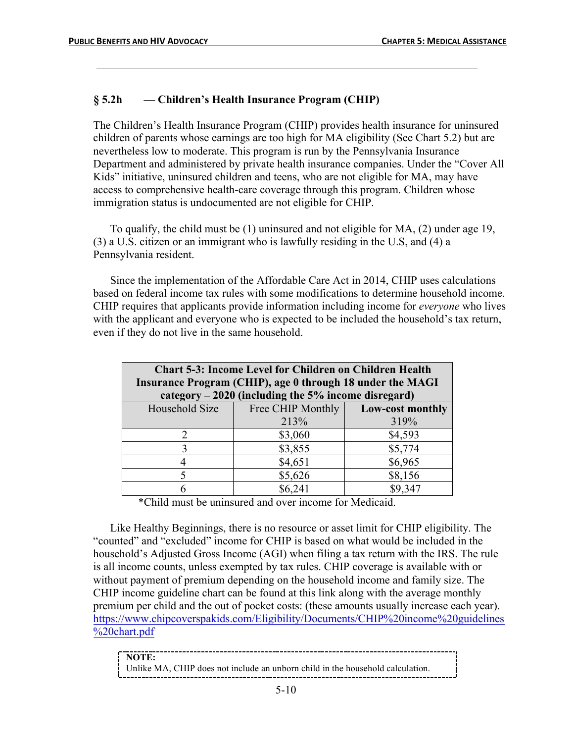## **§ 5.2h — Children's Health Insurance Program (CHIP)**

The Children's Health Insurance Program (CHIP) provides health insurance for uninsured children of parents whose earnings are too high for MA eligibility (See Chart 5.2) but are nevertheless low to moderate. This program is run by the Pennsylvania Insurance Department and administered by private health insurance companies. Under the "Cover All Kids" initiative, uninsured children and teens, who are not eligible for MA, may have access to comprehensive health-care coverage through this program. Children whose immigration status is undocumented are not eligible for CHIP.

To qualify, the child must be (1) uninsured and not eligible for MA, (2) under age 19, (3) a U.S. citizen or an immigrant who is lawfully residing in the U.S, and (4) a Pennsylvania resident.

Since the implementation of the Affordable Care Act in 2014, CHIP uses calculations based on federal income tax rules with some modifications to determine household income. CHIP requires that applicants provide information including income for *everyone* who lives with the applicant and everyone who is expected to be included the household's tax return, even if they do not live in the same household.

| <b>Chart 5-3: Income Level for Children on Children Health</b> |                                                      |                         |  |
|----------------------------------------------------------------|------------------------------------------------------|-------------------------|--|
| Insurance Program (CHIP), age 0 through 18 under the MAGI      |                                                      |                         |  |
|                                                                | category $-2020$ (including the 5% income disregard) |                         |  |
| Household Size                                                 | Free CHIP Monthly                                    | <b>Low-cost monthly</b> |  |
|                                                                | 213%                                                 | 319%                    |  |
| $\mathcal{D}_{\mathcal{L}}$                                    | \$3,060                                              | \$4,593                 |  |
|                                                                | \$3,855                                              | \$5,774                 |  |
|                                                                | \$4,651                                              | \$6,965                 |  |
|                                                                | \$5,626                                              | \$8,156                 |  |
|                                                                | \$6,241                                              | \$9,347                 |  |

\*Child must be uninsured and over income for Medicaid.

Like Healthy Beginnings, there is no resource or asset limit for CHIP eligibility. The "counted" and "excluded" income for CHIP is based on what would be included in the household's Adjusted Gross Income (AGI) when filing a tax return with the IRS. The rule is all income counts, unless exempted by tax rules. CHIP coverage is available with or without payment of premium depending on the household income and family size. The CHIP income guideline chart can be found at this link along with the average monthly premium per child and the out of pocket costs: (these amounts usually increase each year). https://www.chipcoverspakids.com/Eligibility/Documents/CHIP%20income%20guidelines %20chart.pdf

| NOTE:                                                                          |
|--------------------------------------------------------------------------------|
| Unlike MA, CHIP does not include an unborn child in the household calculation. |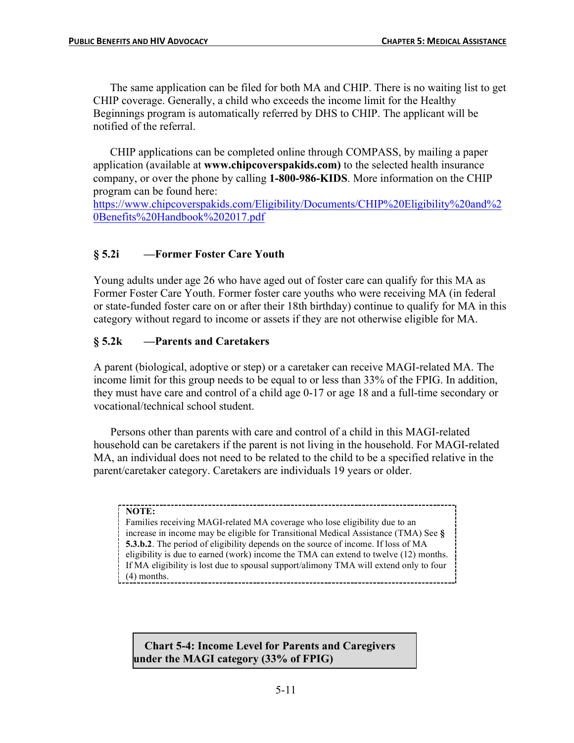The same application can be filed for both MA and CHIP. There is no waiting list to get CHIP coverage. Generally, a child who exceeds the income limit for the Healthy Beginnings program is automatically referred by DHS to CHIP. The applicant will be notified of the referral.

CHIP applications can be completed online through COMPASS, by mailing a paper application (available at **www.chipcoverspakids.com)** to the selected health insurance company, or over the phone by calling **1-800-986-KIDS**. More information on the CHIP program can be found here:

https://www.chipcoverspakids.com/Eligibility/Documents/CHIP%20Eligibility%20and%2 0Benefits%20Handbook%202017.pdf

## **§ 5.2i —Former Foster Care Youth**

Young adults under age 26 who have aged out of foster care can qualify for this MA as Former Foster Care Youth. Former foster care youths who were receiving MA (in federal or state-funded foster care on or after their 18th birthday) continue to qualify for MA in this category without regard to income or assets if they are not otherwise eligible for MA.

## **§ 5.2k —Parents and Caretakers**

A parent (biological, adoptive or step) or a caretaker can receive MAGI-related MA. The income limit for this group needs to be equal to or less than 33% of the FPIG. In addition, they must have care and control of a child age 0-17 or age 18 and a full-time secondary or vocational/technical school student.

Persons other than parents with care and control of a child in this MAGI-related household can be caretakers if the parent is not living in the household. For MAGI-related MA, an individual does not need to be related to the child to be a specified relative in the parent/caretaker category. Caretakers are individuals 19 years or older.

#### **NOTE:**

Families receiving MAGI-related MA coverage who lose eligibility due to an increase in income may be eligible for Transitional Medical Assistance (TMA) See **§ 5.3.b.2**. The period of eligibility depends on the source of income. If loss of MA eligibility is due to earned (work) income the TMA can extend to twelve (12) months. If MA eligibility is lost due to spousal support/alimony TMA will extend only to four (4) months.

**Chart 5-4: Income Level for Parents and Caregivers under the MAGI category (33% of FPIG)**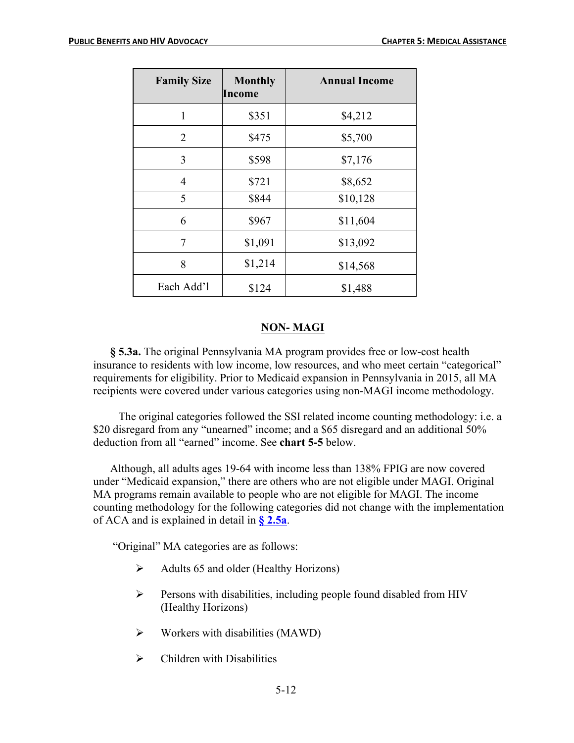| <b>Family Size</b> | <b>Monthly</b><br>Income | <b>Annual Income</b> |
|--------------------|--------------------------|----------------------|
| 1                  | \$351                    | \$4,212              |
| 2                  | \$475                    | \$5,700              |
| 3                  | \$598                    | \$7,176              |
| $\overline{4}$     | \$721                    | \$8,652              |
| 5                  | \$844                    | \$10,128             |
| 6                  | \$967                    | \$11,604             |
| 7                  | \$1,091                  | \$13,092             |
| 8                  | \$1,214                  | \$14,568             |
| Each Add'l         | \$124                    | \$1,488              |

### **NON- MAGI**

**§ 5.3a.** The original Pennsylvania MA program provides free or low-cost health insurance to residents with low income, low resources, and who meet certain "categorical" requirements for eligibility. Prior to Medicaid expansion in Pennsylvania in 2015, all MA recipients were covered under various categories using non-MAGI income methodology.

The original categories followed the SSI related income counting methodology: i.e. a \$20 disregard from any "unearned" income; and a \$65 disregard and an additional 50% deduction from all "earned" income. See **chart 5-5** below.

Although, all adults ages 19-64 with income less than 138% FPIG are now covered under "Medicaid expansion," there are others who are not eligible under MAGI. Original MA programs remain available to people who are not eligible for MAGI. The income counting methodology for the following categories did not change with the implementation of ACA and is explained in detail in **§ 2.5a**.

"Original" MA categories are as follows:

- $\triangleright$  Adults 65 and older (Healthy Horizons)
- $\triangleright$  Persons with disabilities, including people found disabled from HIV (Healthy Horizons)
- $\triangleright$  Workers with disabilities (MAWD)
- $\triangleright$  Children with Disabilities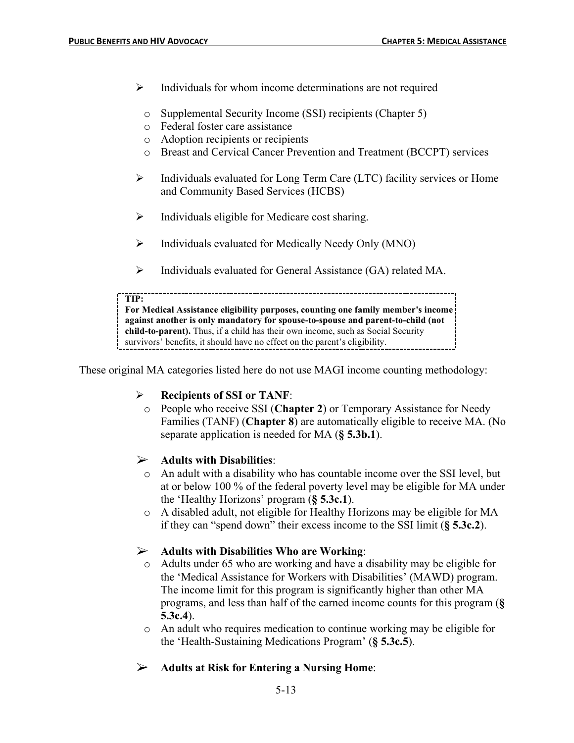- $\triangleright$  Individuals for whom income determinations are not required
	- o Supplemental Security Income (SSI) recipients (Chapter 5)
	- o Federal foster care assistance
	- o Adoption recipients or recipients
	- o Breast and Cervical Cancer Prevention and Treatment (BCCPT) services
- $\triangleright$  Individuals evaluated for Long Term Care (LTC) facility services or Home and Community Based Services (HCBS)
- $\triangleright$  Individuals eligible for Medicare cost sharing.
- $\triangleright$  Individuals evaluated for Medically Needy Only (MNO)
- $\triangleright$  Individuals evaluated for General Assistance (GA) related MA.

#### **TIP:**

**For Medical Assistance eligibility purposes, counting one family member's income against another is only mandatory for spouse-to-spouse and parent-to-child (not child-to-parent).** Thus, if a child has their own income, such as Social Security survivors' benefits, it should have no effect on the parent's eligibility.

These original MA categories listed here do not use MAGI income counting methodology:

## Ø **Recipients of SSI or TANF**:

o People who receive SSI (**Chapter 2**) or Temporary Assistance for Needy Families (TANF) (**Chapter 8**) are automatically eligible to receive MA. (No separate application is needed for MA (**§ 5.3b.1**).

## Ø **Adults with Disabilities**:

- o An adult with a disability who has countable income over the SSI level, but at or below 100 % of the federal poverty level may be eligible for MA under the 'Healthy Horizons' program (**§ 5.3c.1**).
- o A disabled adult, not eligible for Healthy Horizons may be eligible for MA if they can "spend down" their excess income to the SSI limit (**§ 5.3c.2**).

## Ø **Adults with Disabilities Who are Working**:

- o Adults under 65 who are working and have a disability may be eligible for the 'Medical Assistance for Workers with Disabilities' (MAWD) program. The income limit for this program is significantly higher than other MA programs, and less than half of the earned income counts for this program (**§ 5.3c.4**).
- o An adult who requires medication to continue working may be eligible for the 'Health-Sustaining Medications Program' (**§ 5.3c.5**).
- Ø **Adults at Risk for Entering a Nursing Home**: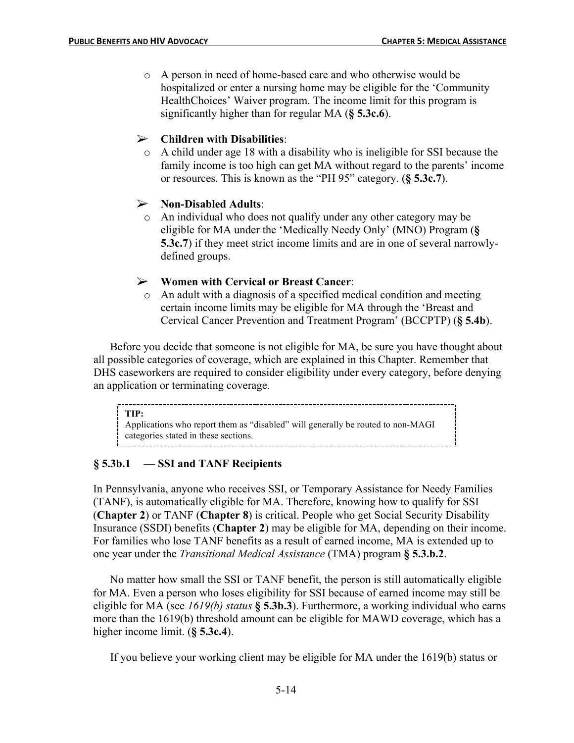o A person in need of home-based care and who otherwise would be hospitalized or enter a nursing home may be eligible for the 'Community HealthChoices' Waiver program. The income limit for this program is significantly higher than for regular MA (**§ 5.3c.6**).

## Ø **Children with Disabilities**:

o A child under age 18 with a disability who is ineligible for SSI because the family income is too high can get MA without regard to the parents' income or resources. This is known as the "PH 95" category. (**§ 5.3c.7**).

### Ø **Non-Disabled Adults**:

o An individual who does not qualify under any other category may be eligible for MA under the 'Medically Needy Only' (MNO) Program (**§ 5.3c.7**) if they meet strict income limits and are in one of several narrowlydefined groups.

### Ø **Women with Cervical or Breast Cancer**:

o An adult with a diagnosis of a specified medical condition and meeting certain income limits may be eligible for MA through the 'Breast and Cervical Cancer Prevention and Treatment Program' (BCCPTP) (**§ 5.4b**).

Before you decide that someone is not eligible for MA, be sure you have thought about all possible categories of coverage, which are explained in this Chapter. Remember that DHS caseworkers are required to consider eligibility under every category, before denying an application or terminating coverage.

**TIP:** Applications who report them as "disabled" will generally be routed to non-MAGI categories stated in these sections.

## **§ 5.3b.1 — SSI and TANF Recipients**

In Pennsylvania, anyone who receives SSI, or Temporary Assistance for Needy Families (TANF), is automatically eligible for MA. Therefore, knowing how to qualify for SSI (**Chapter 2**) or TANF (**Chapter 8**) is critical. People who get Social Security Disability Insurance (SSDI) benefits (**Chapter 2**) may be eligible for MA, depending on their income. For families who lose TANF benefits as a result of earned income, MA is extended up to one year under the *Transitional Medical Assistance* (TMA) program **§ 5.3.b.2**.

No matter how small the SSI or TANF benefit, the person is still automatically eligible for MA. Even a person who loses eligibility for SSI because of earned income may still be eligible for MA (see *1619(b) status* **§ 5.3b.3**). Furthermore, a working individual who earns more than the 1619(b) threshold amount can be eligible for MAWD coverage, which has a higher income limit. (**§ 5.3c.4**).

If you believe your working client may be eligible for MA under the 1619(b) status or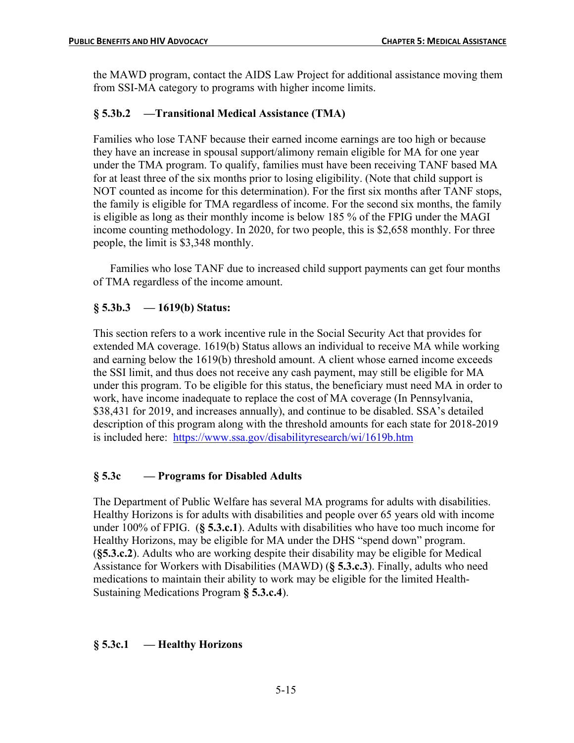the MAWD program, contact the AIDS Law Project for additional assistance moving them from SSI-MA category to programs with higher income limits.

## **§ 5.3b.2 —Transitional Medical Assistance (TMA)**

Families who lose TANF because their earned income earnings are too high or because they have an increase in spousal support/alimony remain eligible for MA for one year under the TMA program. To qualify, families must have been receiving TANF based MA for at least three of the six months prior to losing eligibility. (Note that child support is NOT counted as income for this determination). For the first six months after TANF stops, the family is eligible for TMA regardless of income. For the second six months, the family is eligible as long as their monthly income is below 185 % of the FPIG under the MAGI income counting methodology. In 2020, for two people, this is \$2,658 monthly. For three people, the limit is \$3,348 monthly.

Families who lose TANF due to increased child support payments can get four months of TMA regardless of the income amount.

### **§ 5.3b.3 — 1619(b) Status:**

This section refers to a work incentive rule in the Social Security Act that provides for extended MA coverage. 1619(b) Status allows an individual to receive MA while working and earning below the 1619(b) threshold amount. A client whose earned income exceeds the SSI limit, and thus does not receive any cash payment, may still be eligible for MA under this program. To be eligible for this status, the beneficiary must need MA in order to work, have income inadequate to replace the cost of MA coverage (In Pennsylvania, \$38,431 for 2019, and increases annually), and continue to be disabled. SSA's detailed description of this program along with the threshold amounts for each state for 2018-2019 is included here: https://www.ssa.gov/disabilityresearch/wi/1619b.htm

## **§ 5.3c — Programs for Disabled Adults**

The Department of Public Welfare has several MA programs for adults with disabilities. Healthy Horizons is for adults with disabilities and people over 65 years old with income under 100% of FPIG. (**§ 5.3.c.1**). Adults with disabilities who have too much income for Healthy Horizons, may be eligible for MA under the DHS "spend down" program. (**§5.3.c.2**). Adults who are working despite their disability may be eligible for Medical Assistance for Workers with Disabilities (MAWD) (**§ 5.3.c.3**). Finally, adults who need medications to maintain their ability to work may be eligible for the limited Health-Sustaining Medications Program **§ 5.3.c.4**).

### **§ 5.3c.1 — Healthy Horizons**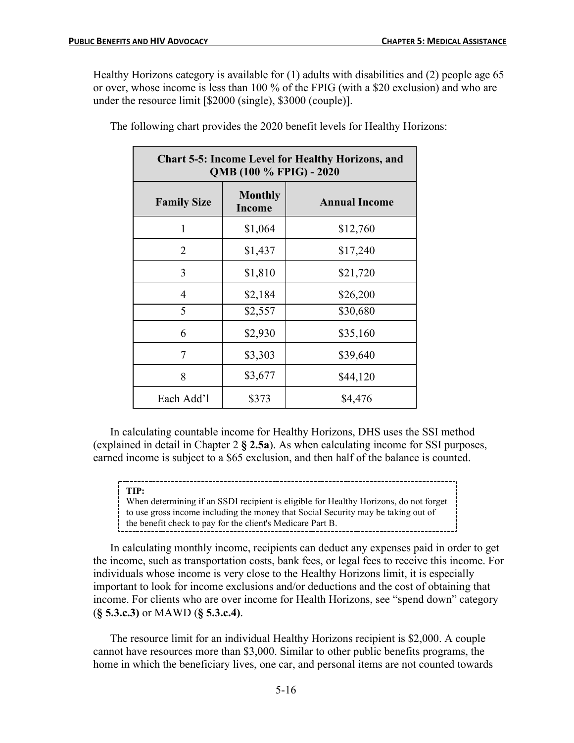Healthy Horizons category is available for (1) adults with disabilities and (2) people age 65 or over, whose income is less than 100 % of the FPIG (with a \$20 exclusion) and who are under the resource limit [\$2000 (single), \$3000 (couple)].

| <b>Chart 5-5: Income Level for Healthy Horizons, and</b><br>QMB (100 % FPIG) - 2020 |                                 |                      |  |
|-------------------------------------------------------------------------------------|---------------------------------|----------------------|--|
| <b>Family Size</b>                                                                  | <b>Monthly</b><br><b>Income</b> | <b>Annual Income</b> |  |
| 1                                                                                   | \$1,064                         | \$12,760             |  |
| 2                                                                                   | \$1,437                         | \$17,240             |  |
| 3                                                                                   | \$1,810                         | \$21,720             |  |
| 4                                                                                   | \$2,184                         | \$26,200             |  |
| 5                                                                                   | \$2,557                         | \$30,680             |  |
| 6                                                                                   | \$2,930                         | \$35,160             |  |
| 7                                                                                   | \$3,303                         | \$39,640             |  |
| 8                                                                                   | \$3,677                         | \$44,120             |  |
| Each Add'l                                                                          | \$373                           | \$4,476              |  |

The following chart provides the 2020 benefit levels for Healthy Horizons:

In calculating countable income for Healthy Horizons, DHS uses the SSI method (explained in detail in Chapter 2 **§ 2.5a**). As when calculating income for SSI purposes, earned income is subject to a \$65 exclusion, and then half of the balance is counted.

#### **TIP:**

When determining if an SSDI recipient is eligible for Healthy Horizons, do not forget to use gross income including the money that Social Security may be taking out of the benefit check to pay for the client's Medicare Part B.

In calculating monthly income, recipients can deduct any expenses paid in order to get the income, such as transportation costs, bank fees, or legal fees to receive this income. For individuals whose income is very close to the Healthy Horizons limit, it is especially important to look for income exclusions and/or deductions and the cost of obtaining that income. For clients who are over income for Health Horizons, see "spend down" category (**§ 5.3.c.3)** or MAWD (**§ 5.3.c.4)**.

The resource limit for an individual Healthy Horizons recipient is \$2,000. A couple cannot have resources more than \$3,000. Similar to other public benefits programs, the home in which the beneficiary lives, one car, and personal items are not counted towards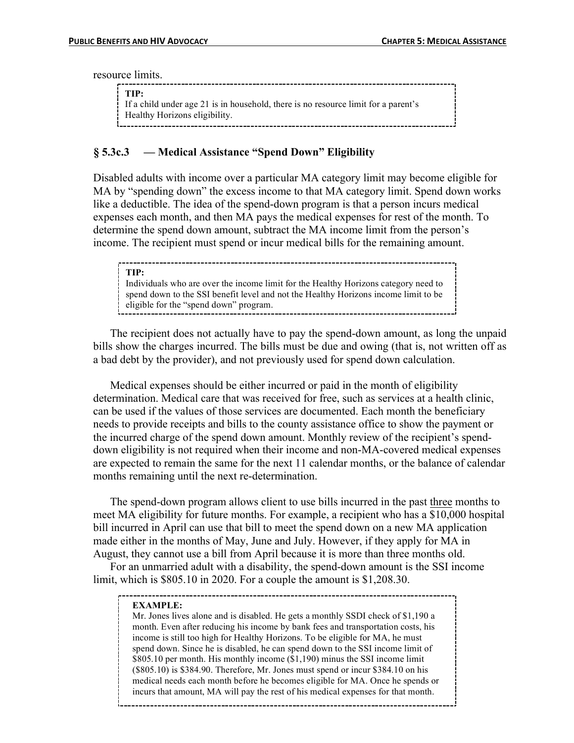resource limits.

| TIP:<br>If a child under age 21 is in household, there is no resource limit for a parent's<br>Healthy Horizons eligibility. |
|-----------------------------------------------------------------------------------------------------------------------------|
|                                                                                                                             |
|                                                                                                                             |

### **§ 5.3c.3 — Medical Assistance "Spend Down" Eligibility**

Disabled adults with income over a particular MA category limit may become eligible for MA by "spending down" the excess income to that MA category limit. Spend down works like a deductible. The idea of the spend-down program is that a person incurs medical expenses each month, and then MA pays the medical expenses for rest of the month. To determine the spend down amount, subtract the MA income limit from the person's income. The recipient must spend or incur medical bills for the remaining amount.

| TIP:                                                                                |
|-------------------------------------------------------------------------------------|
| Individuals who are over the income limit for the Healthy Horizons category need to |
| spend down to the SSI benefit level and not the Healthy Horizons income limit to be |
| eligible for the "spend down" program.                                              |
|                                                                                     |

The recipient does not actually have to pay the spend-down amount, as long the unpaid bills show the charges incurred. The bills must be due and owing (that is, not written off as a bad debt by the provider), and not previously used for spend down calculation.

Medical expenses should be either incurred or paid in the month of eligibility determination. Medical care that was received for free, such as services at a health clinic, can be used if the values of those services are documented. Each month the beneficiary needs to provide receipts and bills to the county assistance office to show the payment or the incurred charge of the spend down amount. Monthly review of the recipient's spenddown eligibility is not required when their income and non-MA-covered medical expenses are expected to remain the same for the next 11 calendar months, or the balance of calendar months remaining until the next re-determination.

The spend-down program allows client to use bills incurred in the past three months to meet MA eligibility for future months. For example, a recipient who has a \$10,000 hospital bill incurred in April can use that bill to meet the spend down on a new MA application made either in the months of May, June and July. However, if they apply for MA in August, they cannot use a bill from April because it is more than three months old.

For an unmarried adult with a disability, the spend-down amount is the SSI income limit, which is \$805.10 in 2020. For a couple the amount is \$1,208.30.

#### **EXAMPLE:**

incurs that amount, MA will pay the rest of his medical expenses for that month. Mr. Jones lives alone and is disabled. He gets a monthly SSDI check of \$1,190 a month. Even after reducing his income by bank fees and transportation costs, his income is still too high for Healthy Horizons. To be eligible for MA, he must spend down. Since he is disabled, he can spend down to the SSI income limit of \$805.10 per month. His monthly income (\$1,190) minus the SSI income limit (\$805.10) is \$384.90. Therefore, Mr. Jones must spend or incur \$384.10 on his medical needs each month before he becomes eligible for MA. Once he spends or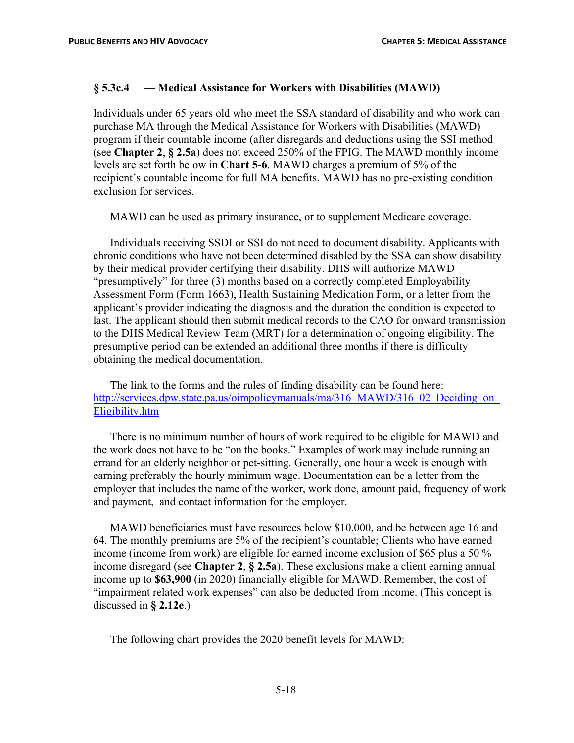## **§ 5.3c.4 — Medical Assistance for Workers with Disabilities (MAWD)**

Individuals under 65 years old who meet the SSA standard of disability and who work can purchase MA through the Medical Assistance for Workers with Disabilities (MAWD) program if their countable income (after disregards and deductions using the SSI method (see **Chapter 2**, **§ 2.5a**) does not exceed 250% of the FPIG. The MAWD monthly income levels are set forth below in **Chart 5-6**. MAWD charges a premium of 5% of the recipient's countable income for full MA benefits. MAWD has no pre-existing condition exclusion for services.

MAWD can be used as primary insurance, or to supplement Medicare coverage.

Individuals receiving SSDI or SSI do not need to document disability. Applicants with chronic conditions who have not been determined disabled by the SSA can show disability by their medical provider certifying their disability. DHS will authorize MAWD "presumptively" for three (3) months based on a correctly completed Employability Assessment Form (Form 1663), Health Sustaining Medication Form, or a letter from the applicant's provider indicating the diagnosis and the duration the condition is expected to last. The applicant should then submit medical records to the CAO for onward transmission to the DHS Medical Review Team (MRT) for a determination of ongoing eligibility. The presumptive period can be extended an additional three months if there is difficulty obtaining the medical documentation.

The link to the forms and the rules of finding disability can be found here: http://services.dpw.state.pa.us/oimpolicymanuals/ma/316 MAWD/316\_02 Deciding on Eligibility.htm

There is no minimum number of hours of work required to be eligible for MAWD and the work does not have to be "on the books." Examples of work may include running an errand for an elderly neighbor or pet-sitting. Generally, one hour a week is enough with earning preferably the hourly minimum wage. Documentation can be a letter from the employer that includes the name of the worker, work done, amount paid, frequency of work and payment, and contact information for the employer.

MAWD beneficiaries must have resources below \$10,000, and be between age 16 and 64. The monthly premiums are 5% of the recipient's countable; Clients who have earned income (income from work) are eligible for earned income exclusion of \$65 plus a 50 % income disregard (see **Chapter 2**, **§ 2.5a**). These exclusions make a client earning annual income up to **\$63,900** (in 2020) financially eligible for MAWD. Remember, the cost of "impairment related work expenses" can also be deducted from income. (This concept is discussed in **§ 2.12e**.)

The following chart provides the 2020 benefit levels for MAWD: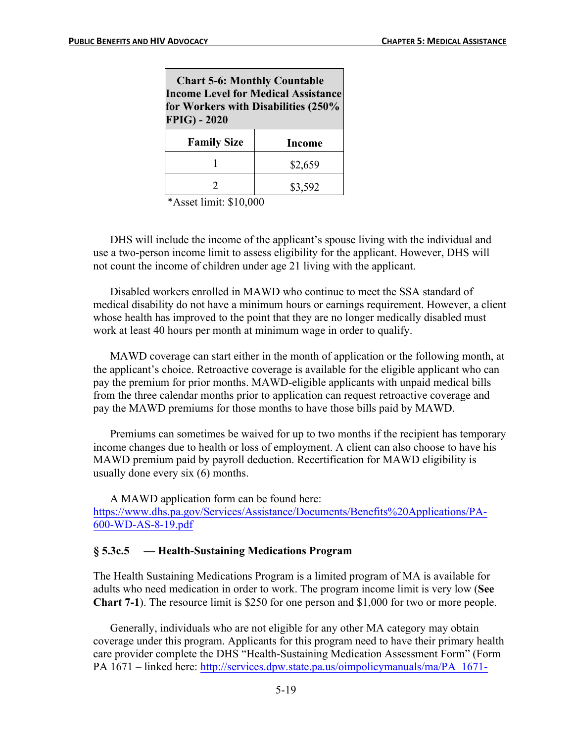| <b>Chart 5-6: Monthly Countable</b><br><b>Income Level for Medical Assistance</b><br>for Workers with Disabilities (250%<br><b>FPIG) - 2020</b> |               |  |
|-------------------------------------------------------------------------------------------------------------------------------------------------|---------------|--|
| <b>Family Size</b>                                                                                                                              | <b>Income</b> |  |
|                                                                                                                                                 | \$2,659       |  |
|                                                                                                                                                 | \$3,592       |  |

\*Asset limit: \$10,000

DHS will include the income of the applicant's spouse living with the individual and use a two-person income limit to assess eligibility for the applicant. However, DHS will not count the income of children under age 21 living with the applicant.

Disabled workers enrolled in MAWD who continue to meet the SSA standard of medical disability do not have a minimum hours or earnings requirement. However, a client whose health has improved to the point that they are no longer medically disabled must work at least 40 hours per month at minimum wage in order to qualify.

MAWD coverage can start either in the month of application or the following month, at the applicant's choice. Retroactive coverage is available for the eligible applicant who can pay the premium for prior months. MAWD-eligible applicants with unpaid medical bills from the three calendar months prior to application can request retroactive coverage and pay the MAWD premiums for those months to have those bills paid by MAWD.

Premiums can sometimes be waived for up to two months if the recipient has temporary income changes due to health or loss of employment. A client can also choose to have his MAWD premium paid by payroll deduction. Recertification for MAWD eligibility is usually done every six (6) months.

A MAWD application form can be found here: https://www.dhs.pa.gov/Services/Assistance/Documents/Benefits%20Applications/PA-600-WD-AS-8-19.pdf

### **§ 5.3c.5 — Health-Sustaining Medications Program**

The Health Sustaining Medications Program is a limited program of MA is available for adults who need medication in order to work. The program income limit is very low (**See Chart 7-1**). The resource limit is \$250 for one person and \$1,000 for two or more people.

Generally, individuals who are not eligible for any other MA category may obtain coverage under this program. Applicants for this program need to have their primary health care provider complete the DHS "Health-Sustaining Medication Assessment Form" (Form PA 1671 – linked here: http://services.dpw.state.pa.us/oimpolicymanuals/ma/PA\_1671-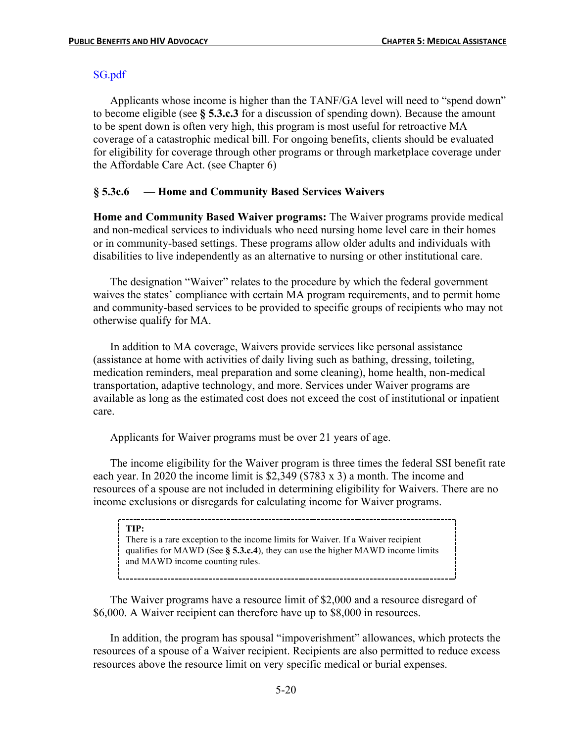#### SG.pdf

Applicants whose income is higher than the TANF/GA level will need to "spend down" to become eligible (see **§ 5.3.c.3** for a discussion of spending down). Because the amount to be spent down is often very high, this program is most useful for retroactive MA coverage of a catastrophic medical bill. For ongoing benefits, clients should be evaluated for eligibility for coverage through other programs or through marketplace coverage under the Affordable Care Act. (see Chapter 6)

### **§ 5.3c.6 — Home and Community Based Services Waivers**

**Home and Community Based Waiver programs:** The Waiver programs provide medical and non-medical services to individuals who need nursing home level care in their homes or in community-based settings. These programs allow older adults and individuals with disabilities to live independently as an alternative to nursing or other institutional care.

The designation "Waiver" relates to the procedure by which the federal government waives the states' compliance with certain MA program requirements, and to permit home and community-based services to be provided to specific groups of recipients who may not otherwise qualify for MA.

In addition to MA coverage, Waivers provide services like personal assistance (assistance at home with activities of daily living such as bathing, dressing, toileting, medication reminders, meal preparation and some cleaning), home health, non-medical transportation, adaptive technology, and more. Services under Waiver programs are available as long as the estimated cost does not exceed the cost of institutional or inpatient care.

Applicants for Waiver programs must be over 21 years of age.

The income eligibility for the Waiver program is three times the federal SSI benefit rate each year. In 2020 the income limit is \$2,349 (\$783 x 3) a month. The income and resources of a spouse are not included in determining eligibility for Waivers. There are no income exclusions or disregards for calculating income for Waiver programs.

#### **TIP:**

There is a rare exception to the income limits for Waiver. If a Waiver recipient qualifies for MAWD (See **§ 5.3.c.4**), they can use the higher MAWD income limits and MAWD income counting rules.

The Waiver programs have a resource limit of \$2,000 and a resource disregard of \$6,000. A Waiver recipient can therefore have up to \$8,000 in resources.

In addition, the program has spousal "impoverishment" allowances, which protects the resources of a spouse of a Waiver recipient. Recipients are also permitted to reduce excess resources above the resource limit on very specific medical or burial expenses.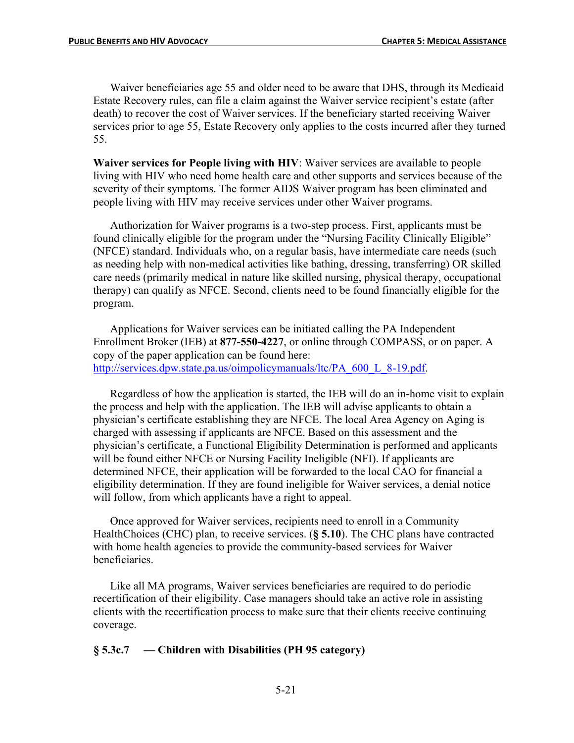Waiver beneficiaries age 55 and older need to be aware that DHS, through its Medicaid Estate Recovery rules, can file a claim against the Waiver service recipient's estate (after death) to recover the cost of Waiver services. If the beneficiary started receiving Waiver services prior to age 55, Estate Recovery only applies to the costs incurred after they turned 55.

**Waiver services for People living with HIV**: Waiver services are available to people living with HIV who need home health care and other supports and services because of the severity of their symptoms. The former AIDS Waiver program has been eliminated and people living with HIV may receive services under other Waiver programs.

Authorization for Waiver programs is a two-step process. First, applicants must be found clinically eligible for the program under the "Nursing Facility Clinically Eligible" (NFCE) standard. Individuals who, on a regular basis, have intermediate care needs (such as needing help with non-medical activities like bathing, dressing, transferring) OR skilled care needs (primarily medical in nature like skilled nursing, physical therapy, occupational therapy) can qualify as NFCE. Second, clients need to be found financially eligible for the program.

Applications for Waiver services can be initiated calling the PA Independent Enrollment Broker (IEB) at **877-550-4227**, or online through COMPASS, or on paper. A copy of the paper application can be found here: http://services.dpw.state.pa.us/oimpolicymanuals/ltc/PA\_600\_L\_8-19.pdf.

Regardless of how the application is started, the IEB will do an in-home visit to explain the process and help with the application. The IEB will advise applicants to obtain a physician's certificate establishing they are NFCE. The local Area Agency on Aging is charged with assessing if applicants are NFCE. Based on this assessment and the physician's certificate, a Functional Eligibility Determination is performed and applicants will be found either NFCE or Nursing Facility Ineligible (NFI). If applicants are determined NFCE, their application will be forwarded to the local CAO for financial a eligibility determination. If they are found ineligible for Waiver services, a denial notice will follow, from which applicants have a right to appeal.

Once approved for Waiver services, recipients need to enroll in a Community HealthChoices (CHC) plan, to receive services. (**§ 5.10**). The CHC plans have contracted with home health agencies to provide the community-based services for Waiver beneficiaries.

Like all MA programs, Waiver services beneficiaries are required to do periodic recertification of their eligibility. Case managers should take an active role in assisting clients with the recertification process to make sure that their clients receive continuing coverage.

### **§ 5.3c.7 — Children with Disabilities (PH 95 category)**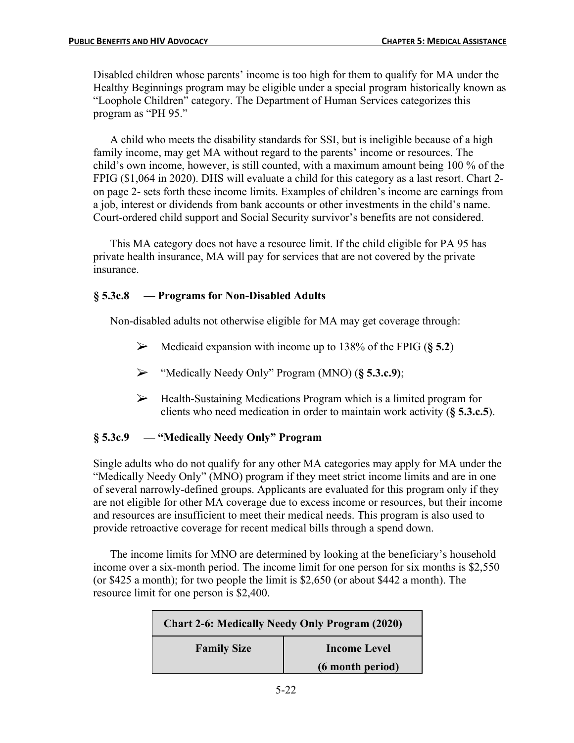Disabled children whose parents' income is too high for them to qualify for MA under the Healthy Beginnings program may be eligible under a special program historically known as "Loophole Children" category. The Department of Human Services categorizes this program as "PH 95."

A child who meets the disability standards for SSI, but is ineligible because of a high family income, may get MA without regard to the parents' income or resources. The child's own income, however, is still counted, with a maximum amount being 100 % of the FPIG (\$1,064 in 2020). DHS will evaluate a child for this category as a last resort. Chart 2 on page 2- sets forth these income limits. Examples of children's income are earnings from a job, interest or dividends from bank accounts or other investments in the child's name. Court-ordered child support and Social Security survivor's benefits are not considered.

This MA category does not have a resource limit. If the child eligible for PA 95 has private health insurance, MA will pay for services that are not covered by the private insurance.

## **§ 5.3c.8 — Programs for Non-Disabled Adults**

Non-disabled adults not otherwise eligible for MA may get coverage through:

- $\triangleright$  Medicaid expansion with income up to 138% of the FPIG ( $\S$  **5.2**)
- Ø "Medically Needy Only" Program (MNO) (**§ 5.3.c.9)**;
- $\triangleright$  Health-Sustaining Medications Program which is a limited program for clients who need medication in order to maintain work activity (**§ 5.3.c.5**).

## **§ 5.3c.9 — "Medically Needy Only" Program**

Single adults who do not qualify for any other MA categories may apply for MA under the "Medically Needy Only" (MNO) program if they meet strict income limits and are in one of several narrowly-defined groups. Applicants are evaluated for this program only if they are not eligible for other MA coverage due to excess income or resources, but their income and resources are insufficient to meet their medical needs. This program is also used to provide retroactive coverage for recent medical bills through a spend down.

The income limits for MNO are determined by looking at the beneficiary's household income over a six-month period. The income limit for one person for six months is \$2,550 (or \$425 a month); for two people the limit is \$2,650 (or about \$442 a month). The resource limit for one person is \$2,400.

| <b>Chart 2-6: Medically Needy Only Program (2020)</b> |                     |
|-------------------------------------------------------|---------------------|
| <b>Family Size</b>                                    | <b>Income Level</b> |
|                                                       | (6 month period)    |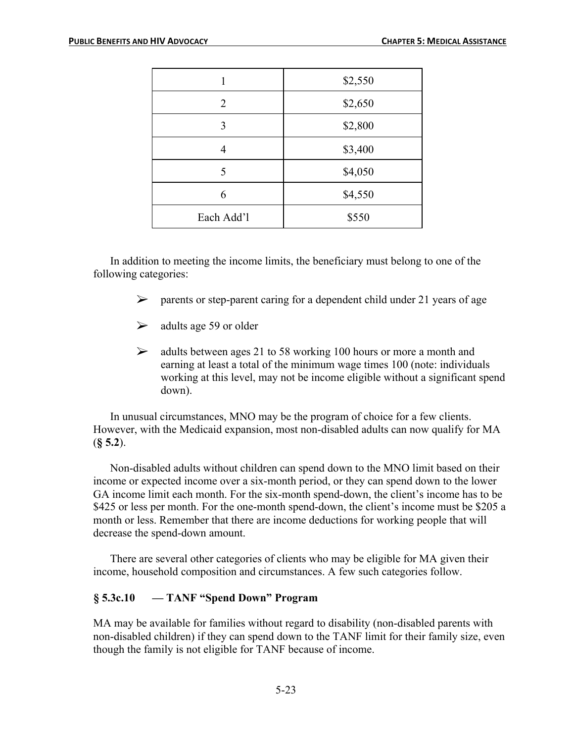|            | \$2,550 |
|------------|---------|
| 2          | \$2,650 |
| 3          | \$2,800 |
| 4          | \$3,400 |
| 5          | \$4,050 |
| 6          | \$4,550 |
| Each Add'l | \$550   |

In addition to meeting the income limits, the beneficiary must belong to one of the following categories:

- $\triangleright$  parents or step-parent caring for a dependent child under 21 years of age
- $\geq$  adults age 59 or older
- $\geq$  adults between ages 21 to 58 working 100 hours or more a month and earning at least a total of the minimum wage times 100 (note: individuals working at this level, may not be income eligible without a significant spend down).

In unusual circumstances, MNO may be the program of choice for a few clients. However, with the Medicaid expansion, most non-disabled adults can now qualify for MA (**§ 5.2**).

Non-disabled adults without children can spend down to the MNO limit based on their income or expected income over a six-month period, or they can spend down to the lower GA income limit each month. For the six-month spend-down, the client's income has to be \$425 or less per month. For the one-month spend-down, the client's income must be \$205 a month or less. Remember that there are income deductions for working people that will decrease the spend-down amount.

There are several other categories of clients who may be eligible for MA given their income, household composition and circumstances. A few such categories follow.

## **§ 5.3c.10 — TANF "Spend Down" Program**

MA may be available for families without regard to disability (non-disabled parents with non-disabled children) if they can spend down to the TANF limit for their family size, even though the family is not eligible for TANF because of income.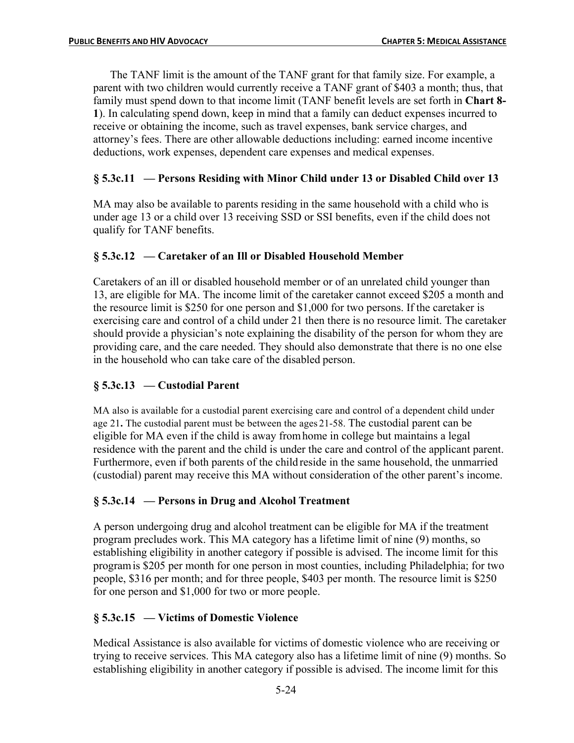The TANF limit is the amount of the TANF grant for that family size. For example, a parent with two children would currently receive a TANF grant of \$403 a month; thus, that family must spend down to that income limit (TANF benefit levels are set forth in **Chart 8- 1**). In calculating spend down, keep in mind that a family can deduct expenses incurred to receive or obtaining the income, such as travel expenses, bank service charges, and attorney's fees. There are other allowable deductions including: earned income incentive deductions, work expenses, dependent care expenses and medical expenses.

# **§ 5.3c.11 — Persons Residing with Minor Child under 13 or Disabled Child over 13**

MA may also be available to parents residing in the same household with a child who is under age 13 or a child over 13 receiving SSD or SSI benefits, even if the child does not qualify for TANF benefits.

## **§ 5.3c.12 — Caretaker of an Ill or Disabled Household Member**

Caretakers of an ill or disabled household member or of an unrelated child younger than 13, are eligible for MA. The income limit of the caretaker cannot exceed \$205 a month and the resource limit is \$250 for one person and \$1,000 for two persons. If the caretaker is exercising care and control of a child under 21 then there is no resource limit. The caretaker should provide a physician's note explaining the disability of the person for whom they are providing care, and the care needed. They should also demonstrate that there is no one else in the household who can take care of the disabled person.

## **§ 5.3c.13 — Custodial Parent**

MA also is available for a custodial parent exercising care and control of a dependent child under age 21**.** The custodial parent must be between the ages 21-58. The custodial parent can be eligible for MA even if the child is away fromhome in college but maintains a legal residence with the parent and the child is under the care and control of the applicant parent. Furthermore, even if both parents of the child reside in the same household, the unmarried (custodial) parent may receive this MA without consideration of the other parent's income.

## **§ 5.3c.14 — Persons in Drug and Alcohol Treatment**

A person undergoing drug and alcohol treatment can be eligible for MA if the treatment program precludes work. This MA category has a lifetime limit of nine (9) months, so establishing eligibility in another category if possible is advised. The income limit for this programis \$205 per month for one person in most counties, including Philadelphia; for two people, \$316 per month; and for three people, \$403 per month. The resource limit is \$250 for one person and \$1,000 for two or more people.

# **§ 5.3c.15 — Victims of Domestic Violence**

Medical Assistance is also available for victims of domestic violence who are receiving or trying to receive services. This MA category also has a lifetime limit of nine (9) months. So establishing eligibility in another category if possible is advised. The income limit for this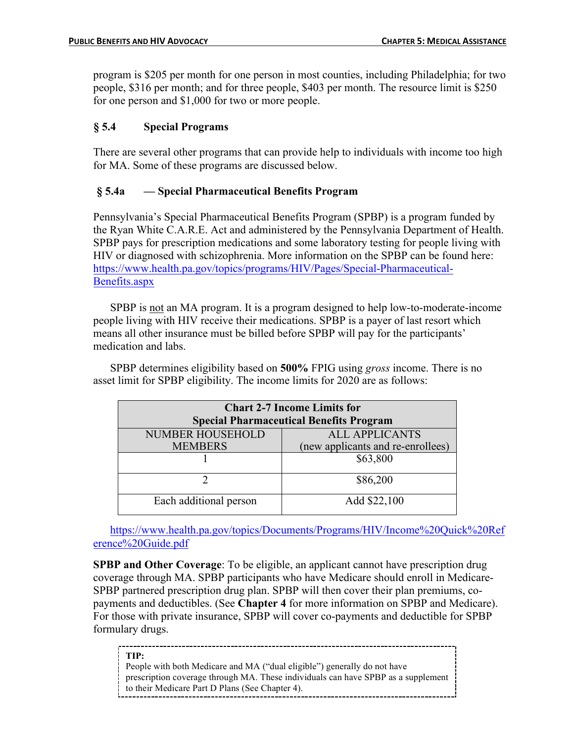program is \$205 per month for one person in most counties, including Philadelphia; for two people, \$316 per month; and for three people, \$403 per month. The resource limit is \$250 for one person and \$1,000 for two or more people.

## **§ 5.4 Special Programs**

There are several other programs that can provide help to individuals with income too high for MA. Some of these programs are discussed below.

## **§ 5.4a — Special Pharmaceutical Benefits Program**

Pennsylvania's Special Pharmaceutical Benefits Program (SPBP) is a program funded by the Ryan White C.A.R.E. Act and administered by the Pennsylvania Department of Health. SPBP pays for prescription medications and some laboratory testing for people living with HIV or diagnosed with schizophrenia. More information on the SPBP can be found here: https://www.health.pa.gov/topics/programs/HIV/Pages/Special-Pharmaceutical-Benefits.aspx

SPBP is not an MA program. It is a program designed to help low-to-moderate-income people living with HIV receive their medications. SPBP is a payer of last resort which means all other insurance must be billed before SPBP will pay for the participants' medication and labs.

SPBP determines eligibility based on **500%** FPIG using *gross* income. There is no asset limit for SPBP eligibility. The income limits for 2020 are as follows:

| <b>Chart 2-7 Income Limits for</b><br><b>Special Pharmaceutical Benefits Program</b> |                                   |  |
|--------------------------------------------------------------------------------------|-----------------------------------|--|
| <b>NUMBER HOUSEHOLD</b>                                                              | <b>ALL APPLICANTS</b>             |  |
| <b>MEMBERS</b>                                                                       | (new applicants and re-enrollees) |  |
|                                                                                      | \$63,800                          |  |
|                                                                                      | \$86,200                          |  |
| Each additional person                                                               | Add \$22,100                      |  |

https://www.health.pa.gov/topics/Documents/Programs/HIV/Income%20Quick%20Ref erence%20Guide.pdf

**SPBP and Other Coverage**: To be eligible, an applicant cannot have prescription drug coverage through MA. SPBP participants who have Medicare should enroll in Medicare-SPBP partnered prescription drug plan. SPBP will then cover their plan premiums, copayments and deductibles. (See **Chapter 4** for more information on SPBP and Medicare). For those with private insurance, SPBP will cover co-payments and deductible for SPBP formulary drugs.

**TIP:**

to their Medicare Part D Plans (See Chapter 4). People with both Medicare and MA ("dual eligible") generally do not have prescription coverage through MA. These individuals can have SPBP as a supplement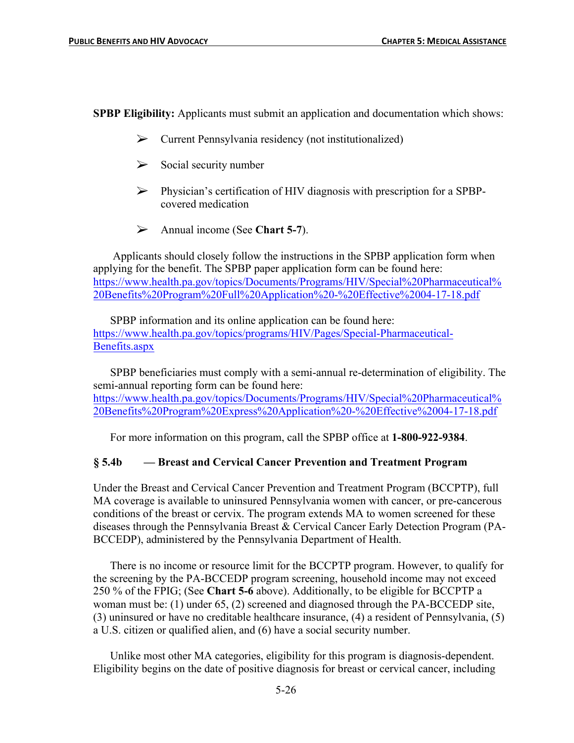**SPBP Eligibility:** Applicants must submit an application and documentation which shows:

- $\triangleright$  Current Pennsylvania residency (not institutionalized)
- $\triangleright$  Social security number
- $\triangleright$  Physician's certification of HIV diagnosis with prescription for a SPBPcovered medication
- Ø Annual income (See **Chart 5-7**).

Applicants should closely follow the instructions in the SPBP application form when applying for the benefit. The SPBP paper application form can be found here: https://www.health.pa.gov/topics/Documents/Programs/HIV/Special%20Pharmaceutical% 20Benefits%20Program%20Full%20Application%20-%20Effective%2004-17-18.pdf

SPBP information and its online application can be found here: https://www.health.pa.gov/topics/programs/HIV/Pages/Special-Pharmaceutical-Benefits.aspx

SPBP beneficiaries must comply with a semi-annual re-determination of eligibility. The semi-annual reporting form can be found here: https://www.health.pa.gov/topics/Documents/Programs/HIV/Special%20Pharmaceutical% 20Benefits%20Program%20Express%20Application%20-%20Effective%2004-17-18.pdf

For more information on this program, call the SPBP office at **1-800-922-9384**.

## **§ 5.4b — Breast and Cervical Cancer Prevention and Treatment Program**

Under the Breast and Cervical Cancer Prevention and Treatment Program (BCCPTP), full MA coverage is available to uninsured Pennsylvania women with cancer, or pre-cancerous conditions of the breast or cervix. The program extends MA to women screened for these diseases through the Pennsylvania Breast & Cervical Cancer Early Detection Program (PA-BCCEDP), administered by the Pennsylvania Department of Health.

There is no income or resource limit for the BCCPTP program. However, to qualify for the screening by the PA-BCCEDP program screening, household income may not exceed 250 % of the FPIG; (See **Chart 5-6** above). Additionally, to be eligible for BCCPTP a woman must be: (1) under 65, (2) screened and diagnosed through the PA-BCCEDP site, (3) uninsured or have no creditable healthcare insurance, (4) a resident of Pennsylvania, (5) a U.S. citizen or qualified alien, and (6) have a social security number.

Unlike most other MA categories, eligibility for this program is diagnosis-dependent. Eligibility begins on the date of positive diagnosis for breast or cervical cancer, including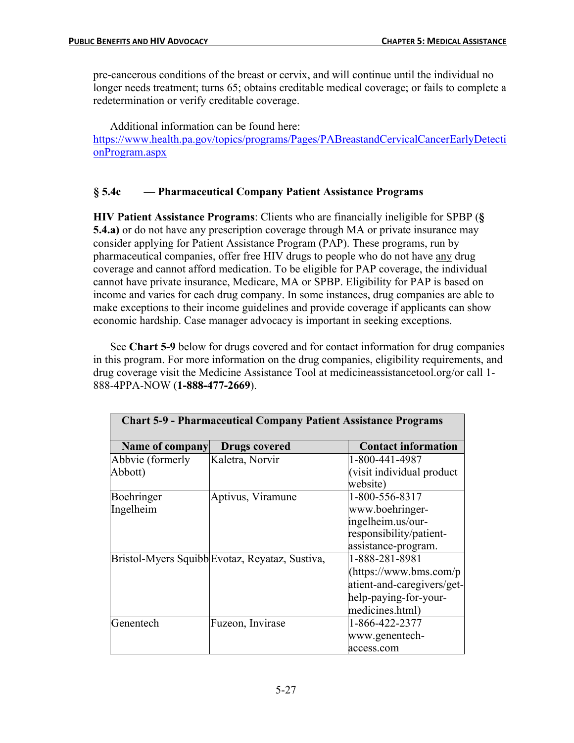pre-cancerous conditions of the breast or cervix, and will continue until the individual no longer needs treatment; turns 65; obtains creditable medical coverage; or fails to complete a redetermination or verify creditable coverage.

Additional information can be found here: https://www.health.pa.gov/topics/programs/Pages/PABreastandCervicalCancerEarlyDetecti onProgram.aspx

## **§ 5.4c — Pharmaceutical Company Patient Assistance Programs**

**HIV Patient Assistance Programs**: Clients who are financially ineligible for SPBP (**§ 5.4.a)** or do not have any prescription coverage through MA or private insurance may consider applying for Patient Assistance Program (PAP). These programs, run by pharmaceutical companies, offer free HIV drugs to people who do not have any drug coverage and cannot afford medication. To be eligible for PAP coverage, the individual cannot have private insurance, Medicare, MA or SPBP. Eligibility for PAP is based on income and varies for each drug company. In some instances, drug companies are able to make exceptions to their income guidelines and provide coverage if applicants can show economic hardship. Case manager advocacy is important in seeking exceptions.

See **Chart 5-9** below for drugs covered and for contact information for drug companies in this program. For more information on the drug companies, eligibility requirements, and drug coverage visit the Medicine Assistance Tool at medicineassistancetool.org/or call 1- 888-4PPA-NOW (**1-888-477-2669**).

| <b>Chart 5-9 - Pharmaceutical Company Patient Assistance Programs</b> |                                                |                                                                                                                     |
|-----------------------------------------------------------------------|------------------------------------------------|---------------------------------------------------------------------------------------------------------------------|
| Name of company                                                       | <b>Drugs covered</b>                           | <b>Contact information</b>                                                                                          |
| Abbvie (formerly<br>Abbott)                                           | Kaletra, Norvir                                | 1-800-441-4987<br>(visit individual product<br>website)                                                             |
| Boehringer<br>Ingelheim                                               | Aptivus, Viramune                              | 1-800-556-8317<br>www.boehringer-<br>ingelheim.us/our-<br>responsibility/patient-<br>assistance-program.            |
|                                                                       | Bristol-Myers Squibb Evotaz, Reyataz, Sustiva, | 1-888-281-8981<br>(htips://www.bms.com/p)<br>atient-and-caregivers/get-<br>help-paying-for-your-<br>medicines.html) |
| Genentech                                                             | Fuzeon, Invirase                               | 1-866-422-2377<br>www.genentech-<br>access.com                                                                      |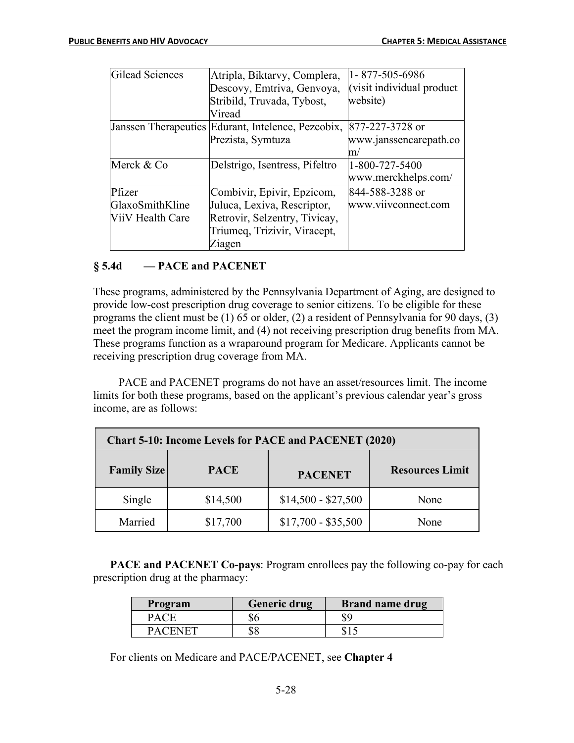| Gilead Sciences  | Atripla, Biktarvy, Complera,                       | 1-877-505-6986             |
|------------------|----------------------------------------------------|----------------------------|
|                  | Descovy, Emtriva, Genvoya,                         | (visit individual product) |
|                  | Stribild, Truvada, Tybost,                         | website)                   |
|                  | Viread                                             |                            |
|                  | Janssen Therapeutics Edurant, Intelence, Pezcobix, | 877-227-3728 or            |
|                  | Prezista, Symtuza                                  | www.janssencarepath.co     |
|                  |                                                    | $\mathsf{m}/$              |
| Merck & Co       | Delstrigo, Isentress, Pifeltro                     | 1-800-727-5400             |
|                  |                                                    | www.merckhelps.com/        |
| Pfizer           | Combivir, Epivir, Epzicom,                         | 844-588-3288 or            |
| GlaxoSmithKline  | Juluca, Lexiva, Rescriptor,                        | www.viivconnect.com        |
| ViiV Health Care | Retrovir, Selzentry, Tivicay,                      |                            |
|                  | Triumeq, Trizivir, Viracept,                       |                            |
|                  | Ziagen                                             |                            |

## **§ 5.4d — PACE and PACENET**

These programs, administered by the Pennsylvania Department of Aging, are designed to provide low-cost prescription drug coverage to senior citizens. To be eligible for these programs the client must be (1) 65 or older, (2) a resident of Pennsylvania for 90 days, (3) meet the program income limit, and (4) not receiving prescription drug benefits from MA. These programs function as a wraparound program for Medicare. Applicants cannot be receiving prescription drug coverage from MA.

PACE and PACENET programs do not have an asset/resources limit. The income limits for both these programs, based on the applicant's previous calendar year's gross income, are as follows:

| <b>Chart 5-10: Income Levels for PACE and PACENET (2020)</b> |             |                     |                        |
|--------------------------------------------------------------|-------------|---------------------|------------------------|
| <b>Family Size</b>                                           | <b>PACE</b> | <b>PACENET</b>      | <b>Resources Limit</b> |
| Single                                                       | \$14,500    | $$14,500 - $27,500$ | None                   |
| Married                                                      | \$17,700    | $$17,700 - $35,500$ | None                   |

**PACE and PACENET Co-pays:** Program enrollees pay the following co-pay for each prescription drug at the pharmacy:

| Program     | <b>Generic drug</b> | <b>Brand name drug</b> |
|-------------|---------------------|------------------------|
| <b>PACF</b> |                     | \$9                    |
| PACENET     |                     |                        |

For clients on Medicare and PACE/PACENET, see **Chapter 4**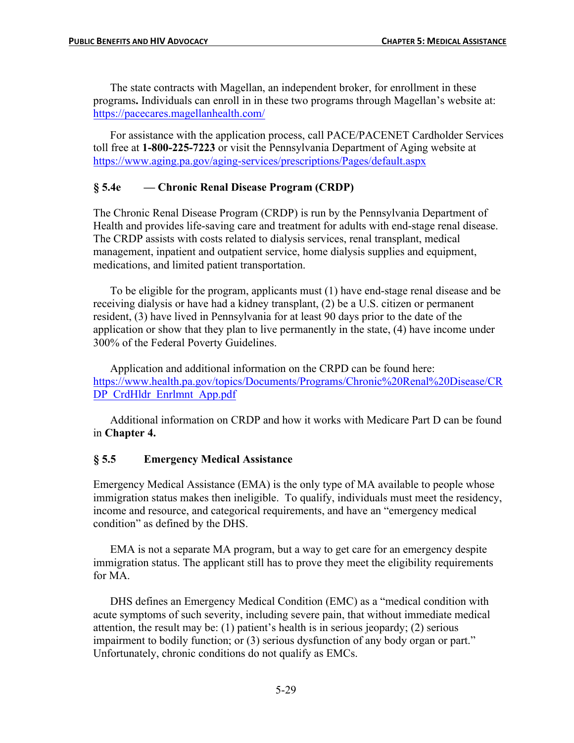The state contracts with Magellan, an independent broker, for enrollment in these programs**.** Individuals can enroll in in these two programs through Magellan's website at: https://pacecares.magellanhealth.com/

For assistance with the application process, call PACE/PACENET Cardholder Services toll free at **1-800-225-7223** or visit the Pennsylvania Department of Aging website at https://www.aging.pa.gov/aging-services/prescriptions/Pages/default.aspx

### **§ 5.4e — Chronic Renal Disease Program (CRDP)**

The Chronic Renal Disease Program (CRDP) is run by the Pennsylvania Department of Health and provides life-saving care and treatment for adults with end-stage renal disease. The CRDP assists with costs related to dialysis services, renal transplant, medical management, inpatient and outpatient service, home dialysis supplies and equipment, medications, and limited patient transportation.

To be eligible for the program, applicants must (1) have end-stage renal disease and be receiving dialysis or have had a kidney transplant, (2) be a U.S. citizen or permanent resident, (3) have lived in Pennsylvania for at least 90 days prior to the date of the application or show that they plan to live permanently in the state, (4) have income under 300% of the Federal Poverty Guidelines.

Application and additional information on the CRPD can be found here: https://www.health.pa.gov/topics/Documents/Programs/Chronic%20Renal%20Disease/CR DP\_CrdHldr\_Enrlmnt\_App.pdf

Additional information on CRDP and how it works with Medicare Part D can be found in **Chapter 4.**

### **§ 5.5 Emergency Medical Assistance**

Emergency Medical Assistance (EMA) is the only type of MA available to people whose immigration status makes then ineligible. To qualify, individuals must meet the residency, income and resource, and categorical requirements, and have an "emergency medical condition" as defined by the DHS.

EMA is not a separate MA program, but a way to get care for an emergency despite immigration status. The applicant still has to prove they meet the eligibility requirements for MA

DHS defines an Emergency Medical Condition (EMC) as a "medical condition with acute symptoms of such severity, including severe pain, that without immediate medical attention, the result may be: (1) patient's health is in serious jeopardy; (2) serious impairment to bodily function; or (3) serious dysfunction of any body organ or part." Unfortunately, chronic conditions do not qualify as EMCs.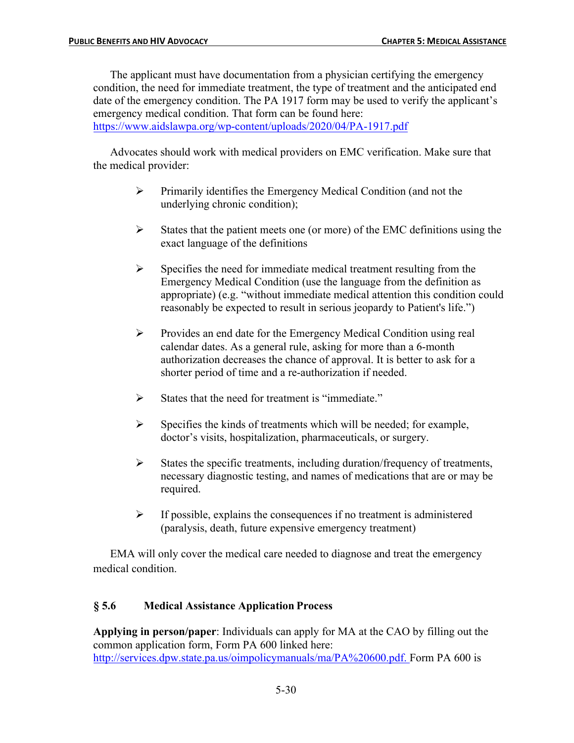The applicant must have documentation from a physician certifying the emergency condition, the need for immediate treatment, the type of treatment and the anticipated end date of the emergency condition. The PA 1917 form may be used to verify the applicant's emergency medical condition. That form can be found here: https://www.aidslawpa.org/wp-content/uploads/2020/04/PA-1917.pdf

Advocates should work with medical providers on EMC verification. Make sure that the medical provider:

- $\triangleright$  Primarily identifies the Emergency Medical Condition (and not the underlying chronic condition);
- $\triangleright$  States that the patient meets one (or more) of the EMC definitions using the exact language of the definitions
- $\triangleright$  Specifies the need for immediate medical treatment resulting from the Emergency Medical Condition (use the language from the definition as appropriate) (e.g. "without immediate medical attention this condition could reasonably be expected to result in serious jeopardy to Patient's life.")
- Ø Provides an end date for the Emergency Medical Condition using real calendar dates. As a general rule, asking for more than a 6-month authorization decreases the chance of approval. It is better to ask for a shorter period of time and a re-authorization if needed.
- $\triangleright$  States that the need for treatment is "immediate."
- $\triangleright$  Specifies the kinds of treatments which will be needed; for example, doctor's visits, hospitalization, pharmaceuticals, or surgery.
- $\triangleright$  States the specific treatments, including duration/frequency of treatments, necessary diagnostic testing, and names of medications that are or may be required.
- $\triangleright$  If possible, explains the consequences if no treatment is administered (paralysis, death, future expensive emergency treatment)

EMA will only cover the medical care needed to diagnose and treat the emergency medical condition.

## **§ 5.6 Medical Assistance Application Process**

**Applying in person/paper**: Individuals can apply for MA at the CAO by filling out the common application form, Form PA 600 linked here: http://services.dpw.state.pa.us/oimpolicymanuals/ma/PA%20600.pdf. Form PA 600 is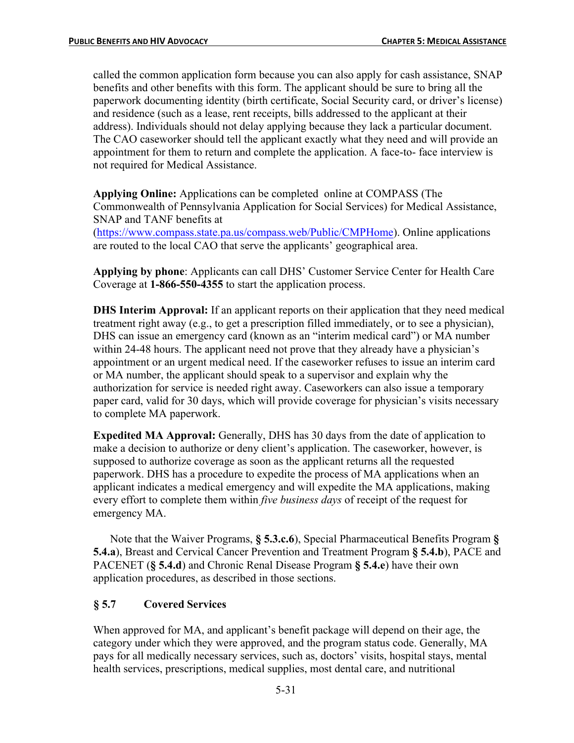called the common application form because you can also apply for cash assistance, SNAP benefits and other benefits with this form. The applicant should be sure to bring all the paperwork documenting identity (birth certificate, Social Security card, or driver's license) and residence (such as a lease, rent receipts, bills addressed to the applicant at their address). Individuals should not delay applying because they lack a particular document. The CAO caseworker should tell the applicant exactly what they need and will provide an appointment for them to return and complete the application. A face-to- face interview is not required for Medical Assistance.

**Applying Online:** Applications can be completed online at COMPASS (The Commonwealth of Pennsylvania Application for Social Services) for Medical Assistance, SNAP and TANF benefits at

(https://www.compass.state.pa.us/compass.web/Public/CMPHome). Online applications are routed to the local CAO that serve the applicants' geographical area.

**Applying by phone**: Applicants can call DHS' Customer Service Center for Health Care Coverage at **1-866-550-4355** to start the application process.

**DHS Interim Approval:** If an applicant reports on their application that they need medical treatment right away (e.g., to get a prescription filled immediately, or to see a physician), DHS can issue an emergency card (known as an "interim medical card") or MA number within 24-48 hours. The applicant need not prove that they already have a physician's appointment or an urgent medical need. If the caseworker refuses to issue an interim card or MA number, the applicant should speak to a supervisor and explain why the authorization for service is needed right away. Caseworkers can also issue a temporary paper card, valid for 30 days, which will provide coverage for physician's visits necessary to complete MA paperwork.

**Expedited MA Approval:** Generally, DHS has 30 days from the date of application to make a decision to authorize or deny client's application. The caseworker, however, is supposed to authorize coverage as soon as the applicant returns all the requested paperwork. DHS has a procedure to expedite the process of MA applications when an applicant indicates a medical emergency and will expedite the MA applications, making every effort to complete them within *five business days* of receipt of the request for emergency MA.

Note that the Waiver Programs, **§ 5.3.c.6**), Special Pharmaceutical Benefits Program **§ 5.4.a**), Breast and Cervical Cancer Prevention and Treatment Program **§ 5.4.b**), PACE and PACENET (**§ 5.4.d**) and Chronic Renal Disease Program **§ 5.4.e**) have their own application procedures, as described in those sections.

### **§ 5.7 Covered Services**

When approved for MA, and applicant's benefit package will depend on their age, the category under which they were approved, and the program status code. Generally, MA pays for all medically necessary services, such as, doctors' visits, hospital stays, mental health services, prescriptions, medical supplies, most dental care, and nutritional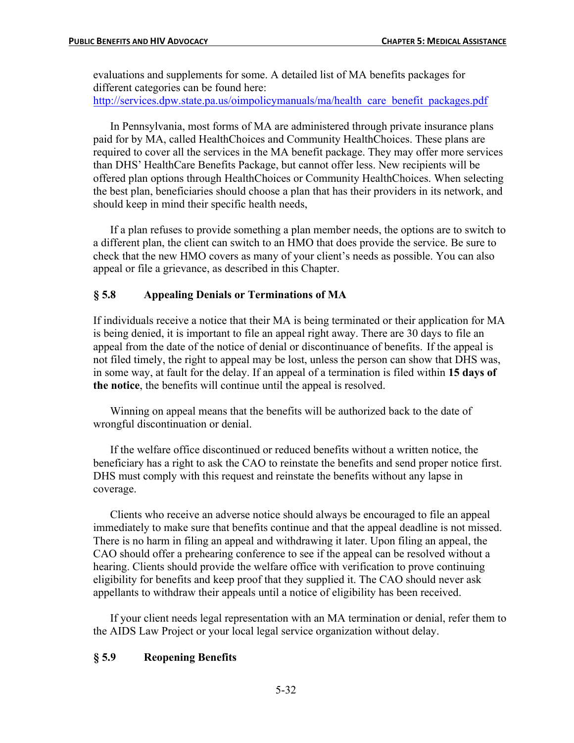evaluations and supplements for some. A detailed list of MA benefits packages for different categories can be found here: http://services.dpw.state.pa.us/oimpolicymanuals/ma/health\_care\_benefit\_packages.pdf

In Pennsylvania, most forms of MA are administered through private insurance plans paid for by MA, called HealthChoices and Community HealthChoices. These plans are required to cover all the services in the MA benefit package. They may offer more services than DHS' HealthCare Benefits Package, but cannot offer less. New recipients will be offered plan options through HealthChoices or Community HealthChoices. When selecting the best plan, beneficiaries should choose a plan that has their providers in its network, and should keep in mind their specific health needs,

If a plan refuses to provide something a plan member needs, the options are to switch to a different plan, the client can switch to an HMO that does provide the service. Be sure to check that the new HMO covers as many of your client's needs as possible. You can also appeal or file a grievance, as described in this Chapter.

### **§ 5.8 Appealing Denials or Terminations of MA**

If individuals receive a notice that their MA is being terminated or their application for MA is being denied, it is important to file an appeal right away. There are 30 days to file an appeal from the date of the notice of denial or discontinuance of benefits. If the appeal is not filed timely, the right to appeal may be lost, unless the person can show that DHS was, in some way, at fault for the delay. If an appeal of a termination is filed within **15 days of the notice**, the benefits will continue until the appeal is resolved.

Winning on appeal means that the benefits will be authorized back to the date of wrongful discontinuation or denial.

If the welfare office discontinued or reduced benefits without a written notice, the beneficiary has a right to ask the CAO to reinstate the benefits and send proper notice first. DHS must comply with this request and reinstate the benefits without any lapse in coverage.

Clients who receive an adverse notice should always be encouraged to file an appeal immediately to make sure that benefits continue and that the appeal deadline is not missed. There is no harm in filing an appeal and withdrawing it later. Upon filing an appeal, the CAO should offer a prehearing conference to see if the appeal can be resolved without a hearing. Clients should provide the welfare office with verification to prove continuing eligibility for benefits and keep proof that they supplied it. The CAO should never ask appellants to withdraw their appeals until a notice of eligibility has been received.

If your client needs legal representation with an MA termination or denial, refer them to the AIDS Law Project or your local legal service organization without delay.

### **§ 5.9 Reopening Benefits**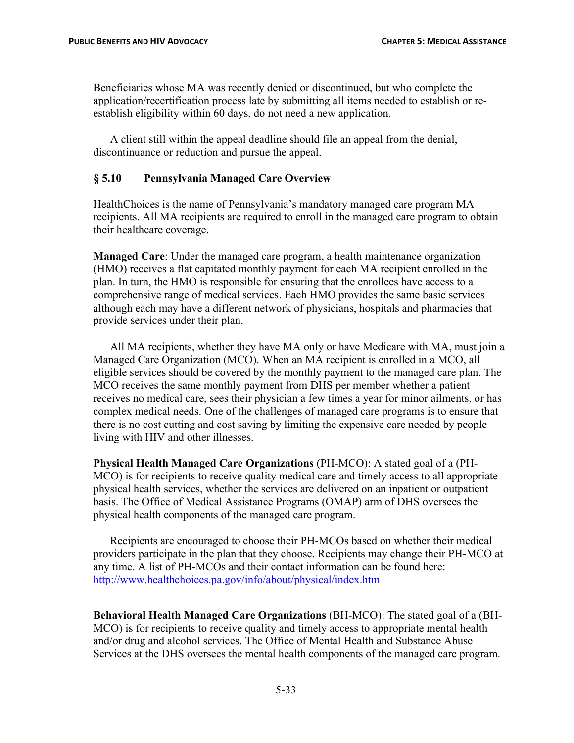Beneficiaries whose MA was recently denied or discontinued, but who complete the application/recertification process late by submitting all items needed to establish or reestablish eligibility within 60 days, do not need a new application.

A client still within the appeal deadline should file an appeal from the denial, discontinuance or reduction and pursue the appeal.

### **§ 5.10 Pennsylvania Managed Care Overview**

HealthChoices is the name of Pennsylvania's mandatory managed care program MA recipients. All MA recipients are required to enroll in the managed care program to obtain their healthcare coverage.

**Managed Care**: Under the managed care program, a health maintenance organization (HMO) receives a flat capitated monthly payment for each MA recipient enrolled in the plan. In turn, the HMO is responsible for ensuring that the enrollees have access to a comprehensive range of medical services. Each HMO provides the same basic services although each may have a different network of physicians, hospitals and pharmacies that provide services under their plan.

All MA recipients, whether they have MA only or have Medicare with MA, must join a Managed Care Organization (MCO). When an MA recipient is enrolled in a MCO, all eligible services should be covered by the monthly payment to the managed care plan. The MCO receives the same monthly payment from DHS per member whether a patient receives no medical care, sees their physician a few times a year for minor ailments, or has complex medical needs. One of the challenges of managed care programs is to ensure that there is no cost cutting and cost saving by limiting the expensive care needed by people living with HIV and other illnesses.

**Physical Health Managed Care Organizations** (PH-MCO): A stated goal of a (PH-MCO) is for recipients to receive quality medical care and timely access to all appropriate physical health services, whether the services are delivered on an inpatient or outpatient basis. The Office of Medical Assistance Programs (OMAP) arm of DHS oversees the physical health components of the managed care program.

Recipients are encouraged to choose their PH-MCOs based on whether their medical providers participate in the plan that they choose. Recipients may change their PH-MCO at any time. A list of PH-MCOs and their contact information can be found here: http://www.healthchoices.pa.gov/info/about/physical/index.htm

**Behavioral Health Managed Care Organizations** (BH-MCO): The stated goal of a (BH-MCO) is for recipients to receive quality and timely access to appropriate mental health and/or drug and alcohol services. The Office of Mental Health and Substance Abuse Services at the DHS oversees the mental health components of the managed care program.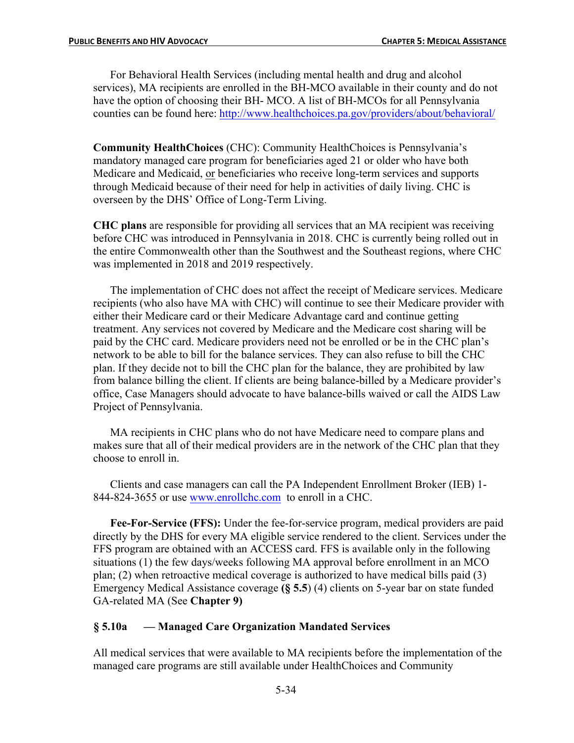For Behavioral Health Services (including mental health and drug and alcohol services), MA recipients are enrolled in the BH-MCO available in their county and do not have the option of choosing their BH- MCO. A list of BH-MCOs for all Pennsylvania counties can be found here: http://www.healthchoices.pa.gov/providers/about/behavioral/

**Community HealthChoices** (CHC): Community HealthChoices is Pennsylvania's mandatory managed care program for beneficiaries aged 21 or older who have both Medicare and Medicaid, or beneficiaries who receive long-term services and supports through Medicaid because of their need for help in activities of daily living. CHC is overseen by the DHS' Office of Long-Term Living.

**CHC plans** are responsible for providing all services that an MA recipient was receiving before CHC was introduced in Pennsylvania in 2018. CHC is currently being rolled out in the entire Commonwealth other than the Southwest and the Southeast regions, where CHC was implemented in 2018 and 2019 respectively.

The implementation of CHC does not affect the receipt of Medicare services. Medicare recipients (who also have MA with CHC) will continue to see their Medicare provider with either their Medicare card or their Medicare Advantage card and continue getting treatment. Any services not covered by Medicare and the Medicare cost sharing will be paid by the CHC card. Medicare providers need not be enrolled or be in the CHC plan's network to be able to bill for the balance services. They can also refuse to bill the CHC plan. If they decide not to bill the CHC plan for the balance, they are prohibited by law from balance billing the client. If clients are being balance-billed by a Medicare provider's office, Case Managers should advocate to have balance-bills waived or call the AIDS Law Project of Pennsylvania.

MA recipients in CHC plans who do not have Medicare need to compare plans and makes sure that all of their medical providers are in the network of the CHC plan that they choose to enroll in.

Clients and case managers can call the PA Independent Enrollment Broker (IEB) 1- 844-824-3655 or use www.enrollchc.com to enroll in a CHC.

**Fee-For-Service (FFS):** Under the fee-for-service program, medical providers are paid directly by the DHS for every MA eligible service rendered to the client. Services under the FFS program are obtained with an ACCESS card. FFS is available only in the following situations (1) the few days/weeks following MA approval before enrollment in an MCO plan; (2) when retroactive medical coverage is authorized to have medical bills paid (3) Emergency Medical Assistance coverage **(§ 5.5**) (4) clients on 5-year bar on state funded GA-related MA (See **Chapter 9)**

### **§ 5.10a — Managed Care Organization Mandated Services**

All medical services that were available to MA recipients before the implementation of the managed care programs are still available under HealthChoices and Community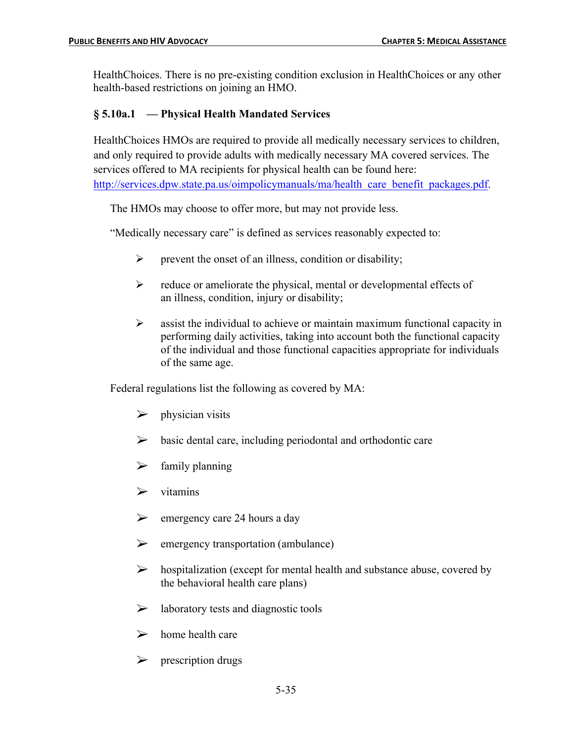HealthChoices. There is no pre-existing condition exclusion in HealthChoices or any other health-based restrictions on joining an HMO.

## **§ 5.10a.1 — Physical Health Mandated Services**

HealthChoices HMOs are required to provide all medically necessary services to children, and only required to provide adults with medically necessary MA covered services. The services offered to MA recipients for physical health can be found here: http://services.dpw.state.pa.us/oimpolicymanuals/ma/health\_care\_benefit\_packages.pdf.

The HMOs may choose to offer more, but may not provide less.

"Medically necessary care" is defined as services reasonably expected to:

- $\triangleright$  prevent the onset of an illness, condition or disability;
- $\triangleright$  reduce or ameliorate the physical, mental or developmental effects of an illness, condition, injury or disability;
- $\triangleright$  assist the individual to achieve or maintain maximum functional capacity in performing daily activities, taking into account both the functional capacity of the individual and those functional capacities appropriate for individuals of the same age.

Federal regulations list the following as covered by MA:

- $\triangleright$  physician visits
- $\triangleright$  basic dental care, including periodontal and orthodontic care
- $\triangleright$  family planning
- $\triangleright$  vitamins
- $\triangleright$  emergency care 24 hours a day
- $\triangleright$  emergency transportation (ambulance)
- $\triangleright$  hospitalization (except for mental health and substance abuse, covered by the behavioral health care plans)
- $\triangleright$  laboratory tests and diagnostic tools
- $\triangleright$  home health care
- $\triangleright$  prescription drugs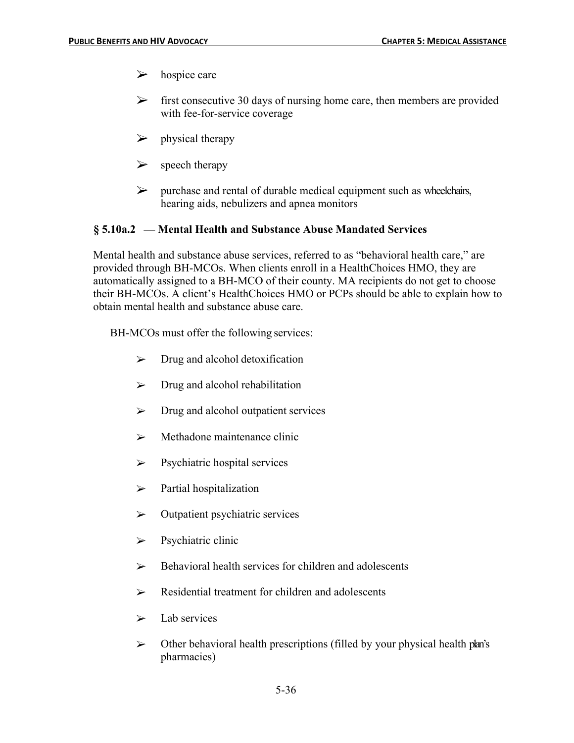- $\triangleright$  hospice care
- $\triangleright$  first consecutive 30 days of nursing home care, then members are provided with fee-for-service coverage
- $\triangleright$  physical therapy
- $\triangleright$  speech therapy
- $\triangleright$  purchase and rental of durable medical equipment such as wheelchairs, hearing aids, nebulizers and apnea monitors

## **§ 5.10a.2 — Mental Health and Substance Abuse Mandated Services**

Mental health and substance abuse services, referred to as "behavioral health care," are provided through BH-MCOs. When clients enroll in a HealthChoices HMO, they are automatically assigned to a BH-MCO of their county. MA recipients do not get to choose their BH-MCOs. A client's HealthChoices HMO or PCPs should be able to explain how to obtain mental health and substance abuse care.

BH-MCOs must offer the following services:

- $\triangleright$  Drug and alcohol detoxification
- $\triangleright$  Drug and alcohol rehabilitation
- $\triangleright$  Drug and alcohol outpatient services
- $\triangleright$  Methadone maintenance clinic
- $\triangleright$  Psychiatric hospital services
- $\triangleright$  Partial hospitalization
- $\triangleright$  Outpatient psychiatric services
- $\triangleright$  Psychiatric clinic
- $\triangleright$  Behavioral health services for children and adolescents
- $\triangleright$  Residential treatment for children and adolescents
- $\triangleright$  Lab services
- $\triangleright$  Other behavioral health prescriptions (filled by your physical health plan's pharmacies)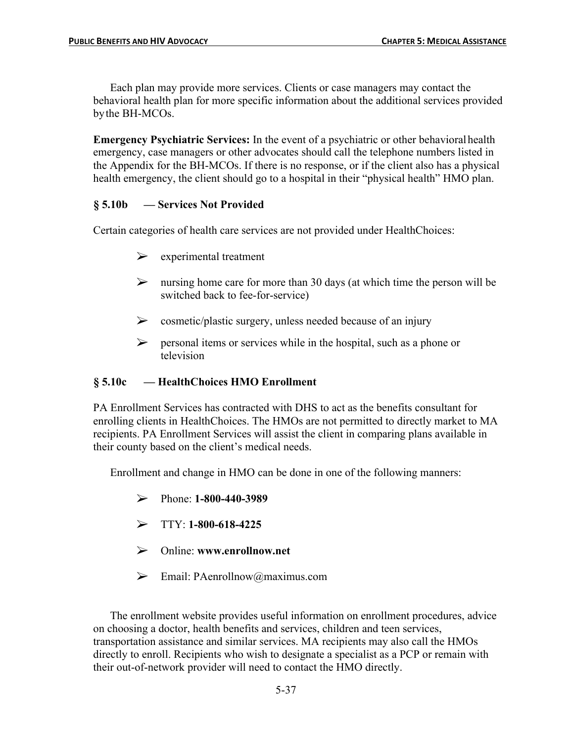Each plan may provide more services. Clients or case managers may contact the behavioral health plan for more specific information about the additional services provided bythe BH-MCOs.

**Emergency Psychiatric Services:** In the event of a psychiatric or other behavioral health emergency, case managers or other advocates should call the telephone numbers listed in the Appendix for the BH-MCOs. If there is no response, or if the client also has a physical health emergency, the client should go to a hospital in their "physical health" HMO plan.

## **§ 5.10b — Services Not Provided**

Certain categories of health care services are not provided under HealthChoices:

- $\triangleright$  experimental treatment
- $\triangleright$  nursing home care for more than 30 days (at which time the person will be switched back to fee-for-service)
- $\triangleright$  cosmetic/plastic surgery, unless needed because of an injury
- $\triangleright$  personal items or services while in the hospital, such as a phone or television

## **§ 5.10c — HealthChoices HMO Enrollment**

PA Enrollment Services has contracted with DHS to act as the benefits consultant for enrolling clients in HealthChoices. The HMOs are not permitted to directly market to MA recipients. PA Enrollment Services will assist the client in comparing plans available in their county based on the client's medical needs.

Enrollment and change in HMO can be done in one of the following manners:

- Ø Phone: **1-800-440-3989**
- $\triangleright$  TTY: **1-800-618-4225**
- Ø Online: **www.enrollnow.net**
- $\triangleright$  Email: PAenrollnow@maximus.com

The enrollment website provides useful information on enrollment procedures, advice on choosing a doctor, health benefits and services, children and teen services, transportation assistance and similar services. MA recipients may also call the HMOs directly to enroll. Recipients who wish to designate a specialist as a PCP or remain with their out-of-network provider will need to contact the HMO directly.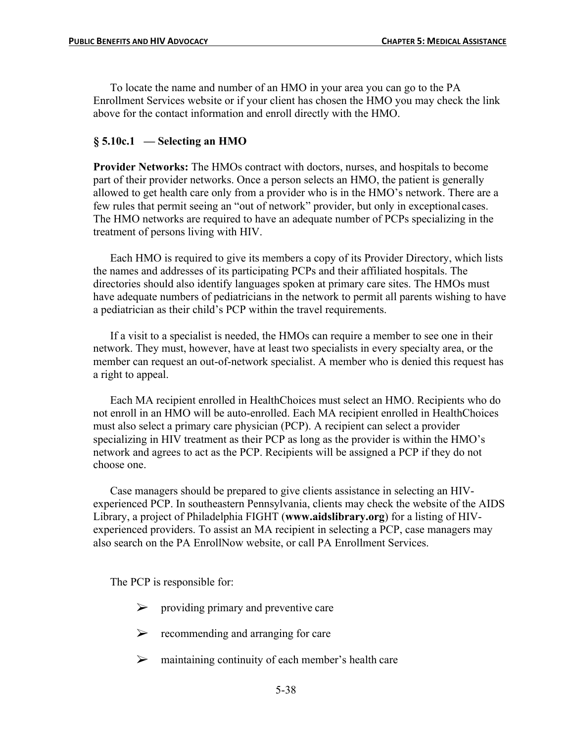To locate the name and number of an HMO in your area you can go to the PA Enrollment Services website or if your client has chosen the HMO you may check the link above for the contact information and enroll directly with the HMO.

### **§ 5.10c.1 — Selecting an HMO**

**Provider Networks:** The HMOs contract with doctors, nurses, and hospitals to become part of their provider networks. Once a person selects an HMO, the patient is generally allowed to get health care only from a provider who is in the HMO's network. There are a few rules that permit seeing an "out of network" provider, but only in exceptional cases. The HMO networks are required to have an adequate number of PCPs specializing in the treatment of persons living with HIV.

Each HMO is required to give its members a copy of its Provider Directory, which lists the names and addresses of its participating PCPs and their affiliated hospitals. The directories should also identify languages spoken at primary care sites. The HMOs must have adequate numbers of pediatricians in the network to permit all parents wishing to have a pediatrician as their child's PCP within the travel requirements.

If a visit to a specialist is needed, the HMOs can require a member to see one in their network. They must, however, have at least two specialists in every specialty area, or the member can request an out-of-network specialist. A member who is denied this request has a right to appeal.

Each MA recipient enrolled in HealthChoices must select an HMO. Recipients who do not enroll in an HMO will be auto-enrolled. Each MA recipient enrolled in HealthChoices must also select a primary care physician (PCP). A recipient can select a provider specializing in HIV treatment as their PCP as long as the provider is within the HMO's network and agrees to act as the PCP. Recipients will be assigned a PCP if they do not choose one.

Case managers should be prepared to give clients assistance in selecting an HIVexperienced PCP. In southeastern Pennsylvania, clients may check the website of the AIDS Library, a project of Philadelphia FIGHT (**www.aidslibrary.org**) for a listing of HIVexperienced providers. To assist an MA recipient in selecting a PCP, case managers may also search on the PA EnrollNow website, or call PA Enrollment Services.

The PCP is responsible for:

- $\triangleright$  providing primary and preventive care
- $\triangleright$  recommending and arranging for care
- $\triangleright$  maintaining continuity of each member's health care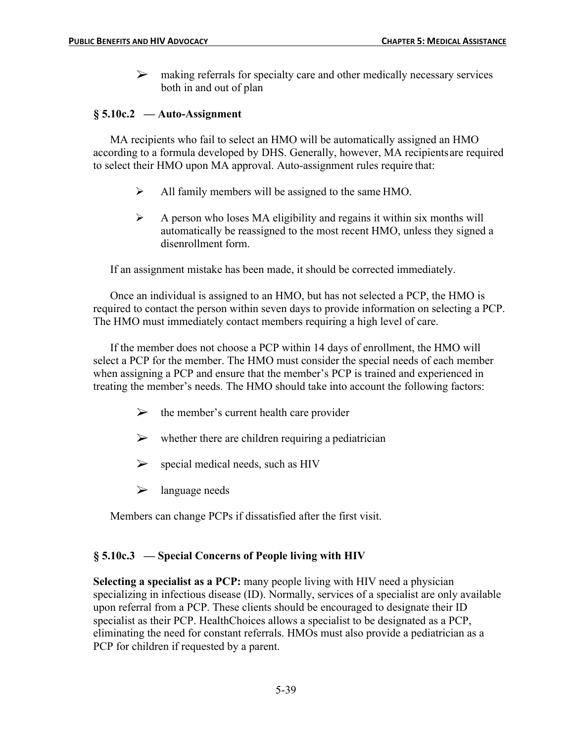$\triangleright$  making referrals for specialty care and other medically necessary services both in and out of plan

## **§ 5.10c.2 — Auto-Assignment**

MA recipients who fail to select an HMO will be automatically assigned an HMO according to a formula developed by DHS. Generally, however, MA recipientsare required to select their HMO upon MA approval. Auto-assignment rules require that:

- $\blacktriangleright$  All family members will be assigned to the same HMO.
- $\triangleright$  A person who loses MA eligibility and regains it within six months will automatically be reassigned to the most recent HMO, unless they signed a disenrollment form.

If an assignment mistake has been made, it should be corrected immediately.

Once an individual is assigned to an HMO, but has not selected a PCP, the HMO is required to contact the person within seven days to provide information on selecting a PCP. The HMO must immediately contact members requiring a high level of care.

If the member does not choose a PCP within 14 days of enrollment, the HMO will select a PCP for the member. The HMO must consider the special needs of each member when assigning a PCP and ensure that the member's PCP is trained and experienced in treating the member's needs. The HMO should take into account the following factors:

- $\triangleright$  the member's current health care provider
- $\triangleright$  whether there are children requiring a pediatrician
- $\triangleright$  special medical needs, such as HIV
- $\triangleright$  language needs

Members can change PCPs if dissatisfied after the first visit.

### **§ 5.10c.3 — Special Concerns of People living with HIV**

**Selecting a specialist as a PCP:** many people living with HIV need a physician specializing in infectious disease (ID). Normally, services of a specialist are only available upon referral from a PCP. These clients should be encouraged to designate their ID specialist as their PCP. HealthChoices allows a specialist to be designated as a PCP, eliminating the need for constant referrals. HMOs must also provide a pediatrician as a PCP for children if requested by a parent.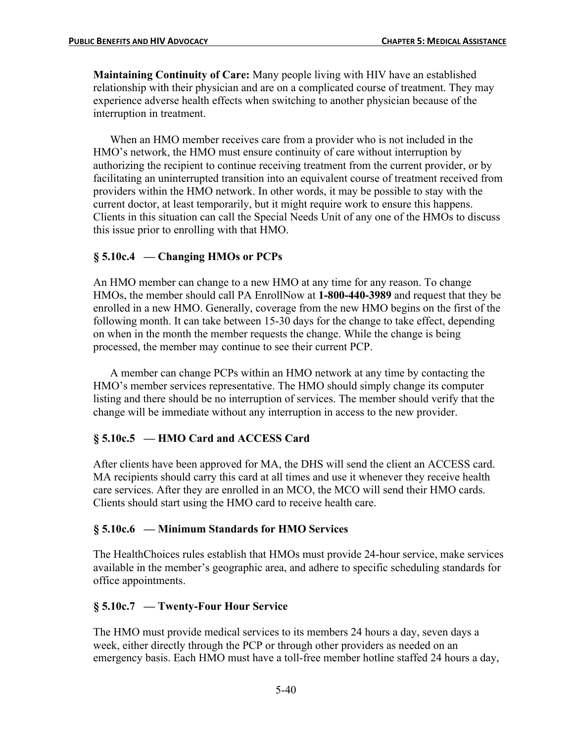**Maintaining Continuity of Care:** Many people living with HIV have an established relationship with their physician and are on a complicated course of treatment. They may experience adverse health effects when switching to another physician because of the interruption in treatment.

When an HMO member receives care from a provider who is not included in the HMO's network, the HMO must ensure continuity of care without interruption by authorizing the recipient to continue receiving treatment from the current provider, or by facilitating an uninterrupted transition into an equivalent course of treatment received from providers within the HMO network. In other words, it may be possible to stay with the current doctor, at least temporarily, but it might require work to ensure this happens. Clients in this situation can call the Special Needs Unit of any one of the HMOs to discuss this issue prior to enrolling with that HMO.

### **§ 5.10c.4 — Changing HMOs or PCPs**

An HMO member can change to a new HMO at any time for any reason. To change HMOs, the member should call PA EnrollNow at **1-800-440-3989** and request that they be enrolled in a new HMO. Generally, coverage from the new HMO begins on the first of the following month. It can take between 15-30 days for the change to take effect, depending on when in the month the member requests the change. While the change is being processed, the member may continue to see their current PCP.

A member can change PCPs within an HMO network at any time by contacting the HMO's member services representative. The HMO should simply change its computer listing and there should be no interruption of services. The member should verify that the change will be immediate without any interruption in access to the new provider.

### **§ 5.10c.5 — HMO Card and ACCESS Card**

After clients have been approved for MA, the DHS will send the client an ACCESS card. MA recipients should carry this card at all times and use it whenever they receive health care services. After they are enrolled in an MCO, the MCO will send their HMO cards. Clients should start using the HMO card to receive health care.

#### **§ 5.10c.6 — Minimum Standards for HMO Services**

The HealthChoices rules establish that HMOs must provide 24-hour service, make services available in the member's geographic area, and adhere to specific scheduling standards for office appointments.

#### **§ 5.10c.7 — Twenty-Four Hour Service**

The HMO must provide medical services to its members 24 hours a day, seven days a week, either directly through the PCP or through other providers as needed on an emergency basis. Each HMO must have a toll-free member hotline staffed 24 hours a day,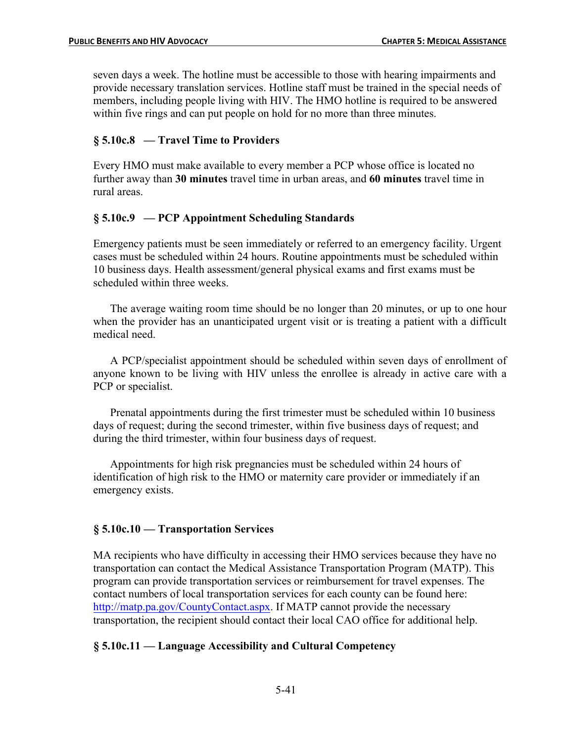seven days a week. The hotline must be accessible to those with hearing impairments and provide necessary translation services. Hotline staff must be trained in the special needs of members, including people living with HIV. The HMO hotline is required to be answered within five rings and can put people on hold for no more than three minutes.

### **§ 5.10c.8 — Travel Time to Providers**

Every HMO must make available to every member a PCP whose office is located no further away than **30 minutes** travel time in urban areas, and **60 minutes** travel time in rural areas.

### **§ 5.10c.9 — PCP Appointment Scheduling Standards**

Emergency patients must be seen immediately or referred to an emergency facility. Urgent cases must be scheduled within 24 hours. Routine appointments must be scheduled within 10 business days. Health assessment/general physical exams and first exams must be scheduled within three weeks.

The average waiting room time should be no longer than 20 minutes, or up to one hour when the provider has an unanticipated urgent visit or is treating a patient with a difficult medical need.

A PCP/specialist appointment should be scheduled within seven days of enrollment of anyone known to be living with HIV unless the enrollee is already in active care with a PCP or specialist.

Prenatal appointments during the first trimester must be scheduled within 10 business days of request; during the second trimester, within five business days of request; and during the third trimester, within four business days of request.

Appointments for high risk pregnancies must be scheduled within 24 hours of identification of high risk to the HMO or maternity care provider or immediately if an emergency exists.

### **§ 5.10c.10 — Transportation Services**

MA recipients who have difficulty in accessing their HMO services because they have no transportation can contact the Medical Assistance Transportation Program (MATP). This program can provide transportation services or reimbursement for travel expenses. The contact numbers of local transportation services for each county can be found here: http://matp.pa.gov/CountyContact.aspx. If MATP cannot provide the necessary transportation, the recipient should contact their local CAO office for additional help.

### **§ 5.10c.11 — Language Accessibility and Cultural Competency**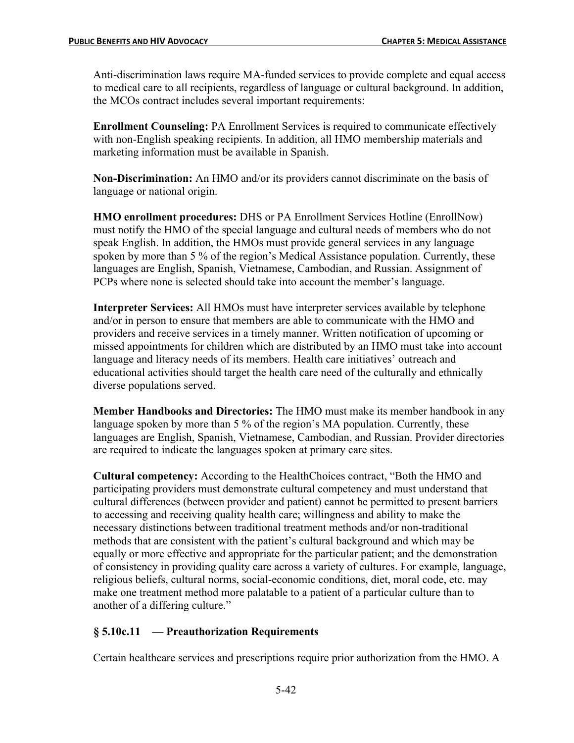Anti-discrimination laws require MA-funded services to provide complete and equal access to medical care to all recipients, regardless of language or cultural background. In addition, the MCOs contract includes several important requirements:

**Enrollment Counseling:** PA Enrollment Services is required to communicate effectively with non-English speaking recipients. In addition, all HMO membership materials and marketing information must be available in Spanish.

**Non-Discrimination:** An HMO and/or its providers cannot discriminate on the basis of language or national origin.

**HMO enrollment procedures:** DHS or PA Enrollment Services Hotline (EnrollNow) must notify the HMO of the special language and cultural needs of members who do not speak English. In addition, the HMOs must provide general services in any language spoken by more than 5 % of the region's Medical Assistance population. Currently, these languages are English, Spanish, Vietnamese, Cambodian, and Russian. Assignment of PCPs where none is selected should take into account the member's language.

**Interpreter Services:** All HMOs must have interpreter services available by telephone and/or in person to ensure that members are able to communicate with the HMO and providers and receive services in a timely manner. Written notification of upcoming or missed appointments for children which are distributed by an HMO must take into account language and literacy needs of its members. Health care initiatives' outreach and educational activities should target the health care need of the culturally and ethnically diverse populations served.

**Member Handbooks and Directories:** The HMO must make its member handbook in any language spoken by more than 5 % of the region's MA population. Currently, these languages are English, Spanish, Vietnamese, Cambodian, and Russian. Provider directories are required to indicate the languages spoken at primary care sites.

**Cultural competency:** According to the HealthChoices contract, "Both the HMO and participating providers must demonstrate cultural competency and must understand that cultural differences (between provider and patient) cannot be permitted to present barriers to accessing and receiving quality health care; willingness and ability to make the necessary distinctions between traditional treatment methods and/or non-traditional methods that are consistent with the patient's cultural background and which may be equally or more effective and appropriate for the particular patient; and the demonstration of consistency in providing quality care across a variety of cultures. For example, language, religious beliefs, cultural norms, social-economic conditions, diet, moral code, etc. may make one treatment method more palatable to a patient of a particular culture than to another of a differing culture."

## **§ 5.10c.11 — Preauthorization Requirements**

Certain healthcare services and prescriptions require prior authorization from the HMO. A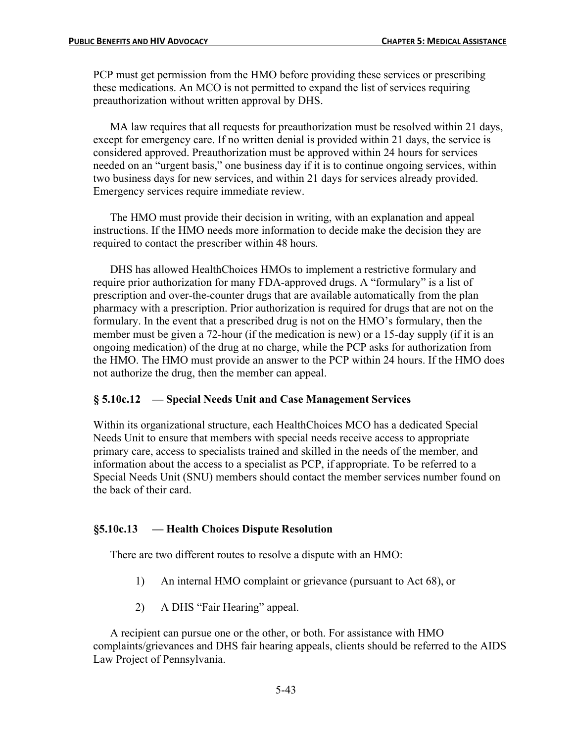PCP must get permission from the HMO before providing these services or prescribing these medications. An MCO is not permitted to expand the list of services requiring preauthorization without written approval by DHS.

MA law requires that all requests for preauthorization must be resolved within 21 days, except for emergency care. If no written denial is provided within 21 days, the service is considered approved. Preauthorization must be approved within 24 hours for services needed on an "urgent basis," one business day if it is to continue ongoing services, within two business days for new services, and within 21 days for services already provided. Emergency services require immediate review.

The HMO must provide their decision in writing, with an explanation and appeal instructions. If the HMO needs more information to decide make the decision they are required to contact the prescriber within 48 hours.

DHS has allowed HealthChoices HMOs to implement a restrictive formulary and require prior authorization for many FDA-approved drugs. A "formulary" is a list of prescription and over-the-counter drugs that are available automatically from the plan pharmacy with a prescription. Prior authorization is required for drugs that are not on the formulary. In the event that a prescribed drug is not on the HMO's formulary, then the member must be given a 72-hour (if the medication is new) or a 15-day supply (if it is an ongoing medication) of the drug at no charge, while the PCP asks for authorization from the HMO. The HMO must provide an answer to the PCP within 24 hours. If the HMO does not authorize the drug, then the member can appeal.

### **§ 5.10c.12 — Special Needs Unit and Case Management Services**

Within its organizational structure, each HealthChoices MCO has a dedicated Special Needs Unit to ensure that members with special needs receive access to appropriate primary care, access to specialists trained and skilled in the needs of the member, and information about the access to a specialist as PCP, if appropriate. To be referred to a Special Needs Unit (SNU) members should contact the member services number found on the back of their card.

### **§5.10c.13 — Health Choices Dispute Resolution**

There are two different routes to resolve a dispute with an HMO:

- 1) An internal HMO complaint or grievance (pursuant to Act 68), or
- 2) A DHS "Fair Hearing" appeal.

A recipient can pursue one or the other, or both. For assistance with HMO complaints/grievances and DHS fair hearing appeals, clients should be referred to the AIDS Law Project of Pennsylvania.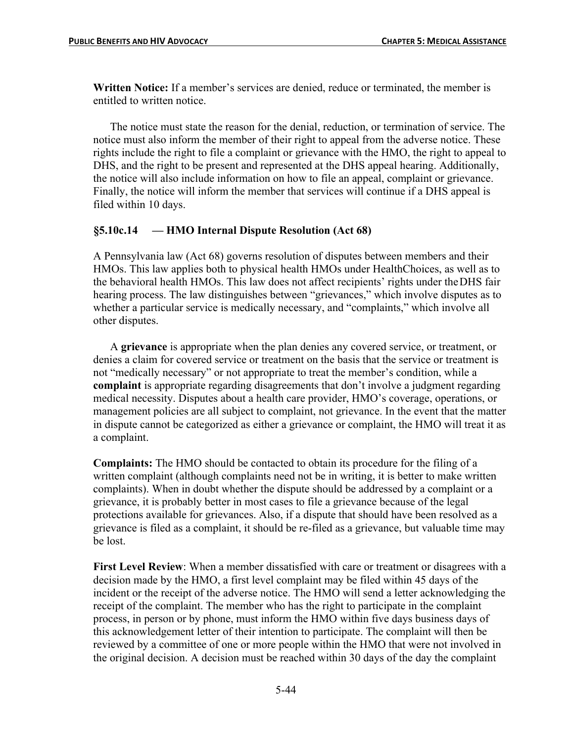**Written Notice:** If a member's services are denied, reduce or terminated, the member is entitled to written notice.

The notice must state the reason for the denial, reduction, or termination of service. The notice must also inform the member of their right to appeal from the adverse notice. These rights include the right to file a complaint or grievance with the HMO, the right to appeal to DHS, and the right to be present and represented at the DHS appeal hearing. Additionally, the notice will also include information on how to file an appeal, complaint or grievance. Finally, the notice will inform the member that services will continue if a DHS appeal is filed within 10 days.

### **§5.10c.14 — HMO Internal Dispute Resolution (Act 68)**

A Pennsylvania law (Act 68) governs resolution of disputes between members and their HMOs. This law applies both to physical health HMOs under HealthChoices, as well as to the behavioral health HMOs. This law does not affect recipients' rights under theDHS fair hearing process. The law distinguishes between "grievances," which involve disputes as to whether a particular service is medically necessary, and "complaints," which involve all other disputes.

A **grievance** is appropriate when the plan denies any covered service, or treatment, or denies a claim for covered service or treatment on the basis that the service or treatment is not "medically necessary" or not appropriate to treat the member's condition, while a **complaint** is appropriate regarding disagreements that don't involve a judgment regarding medical necessity. Disputes about a health care provider, HMO's coverage, operations, or management policies are all subject to complaint, not grievance. In the event that the matter in dispute cannot be categorized as either a grievance or complaint, the HMO will treat it as a complaint.

**Complaints:** The HMO should be contacted to obtain its procedure for the filing of a written complaint (although complaints need not be in writing, it is better to make written complaints). When in doubt whether the dispute should be addressed by a complaint or a grievance, it is probably better in most cases to file a grievance because of the legal protections available for grievances. Also, if a dispute that should have been resolved as a grievance is filed as a complaint, it should be re-filed as a grievance, but valuable time may be lost.

**First Level Review**: When a member dissatisfied with care or treatment or disagrees with a decision made by the HMO, a first level complaint may be filed within 45 days of the incident or the receipt of the adverse notice. The HMO will send a letter acknowledging the receipt of the complaint. The member who has the right to participate in the complaint process, in person or by phone, must inform the HMO within five days business days of this acknowledgement letter of their intention to participate. The complaint will then be reviewed by a committee of one or more people within the HMO that were not involved in the original decision. A decision must be reached within 30 days of the day the complaint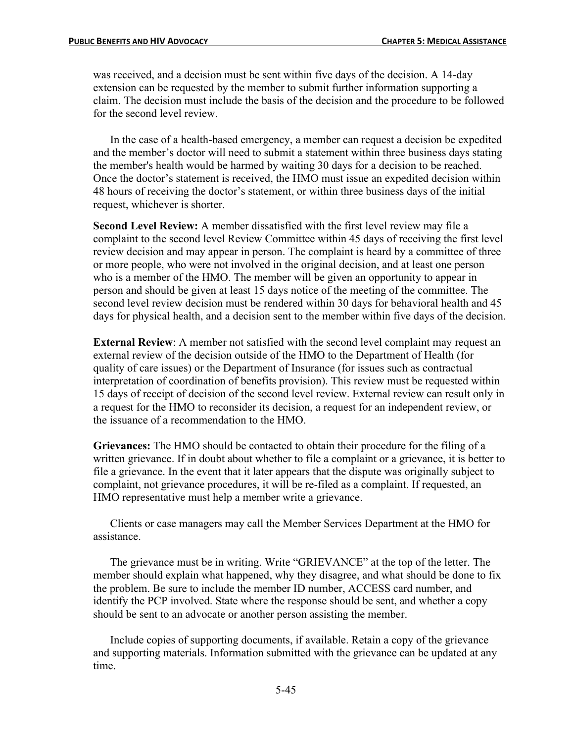was received, and a decision must be sent within five days of the decision. A 14-day extension can be requested by the member to submit further information supporting a claim. The decision must include the basis of the decision and the procedure to be followed for the second level review.

In the case of a health-based emergency, a member can request a decision be expedited and the member's doctor will need to submit a statement within three business days stating the member's health would be harmed by waiting 30 days for a decision to be reached. Once the doctor's statement is received, the HMO must issue an expedited decision within 48 hours of receiving the doctor's statement, or within three business days of the initial request, whichever is shorter.

**Second Level Review:** A member dissatisfied with the first level review may file a complaint to the second level Review Committee within 45 days of receiving the first level review decision and may appear in person. The complaint is heard by a committee of three or more people, who were not involved in the original decision, and at least one person who is a member of the HMO. The member will be given an opportunity to appear in person and should be given at least 15 days notice of the meeting of the committee. The second level review decision must be rendered within 30 days for behavioral health and 45 days for physical health, and a decision sent to the member within five days of the decision.

**External Review**: A member not satisfied with the second level complaint may request an external review of the decision outside of the HMO to the Department of Health (for quality of care issues) or the Department of Insurance (for issues such as contractual interpretation of coordination of benefits provision). This review must be requested within 15 days of receipt of decision of the second level review. External review can result only in a request for the HMO to reconsider its decision, a request for an independent review, or the issuance of a recommendation to the HMO.

**Grievances:** The HMO should be contacted to obtain their procedure for the filing of a written grievance. If in doubt about whether to file a complaint or a grievance, it is better to file a grievance. In the event that it later appears that the dispute was originally subject to complaint, not grievance procedures, it will be re-filed as a complaint. If requested, an HMO representative must help a member write a grievance.

Clients or case managers may call the Member Services Department at the HMO for assistance.

The grievance must be in writing. Write "GRIEVANCE" at the top of the letter. The member should explain what happened, why they disagree, and what should be done to fix the problem. Be sure to include the member ID number, ACCESS card number, and identify the PCP involved. State where the response should be sent, and whether a copy should be sent to an advocate or another person assisting the member.

Include copies of supporting documents, if available. Retain a copy of the grievance and supporting materials. Information submitted with the grievance can be updated at any time.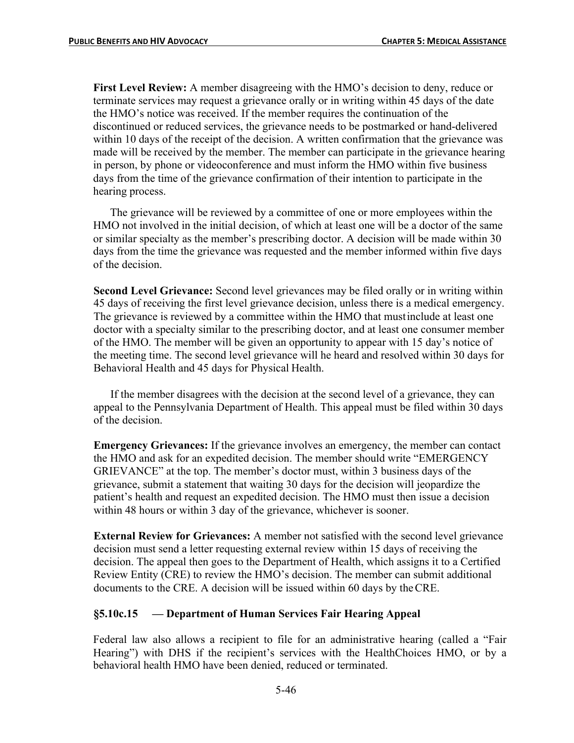**First Level Review:** A member disagreeing with the HMO's decision to deny, reduce or terminate services may request a grievance orally or in writing within 45 days of the date the HMO's notice was received. If the member requires the continuation of the discontinued or reduced services, the grievance needs to be postmarked or hand-delivered within 10 days of the receipt of the decision. A written confirmation that the grievance was made will be received by the member. The member can participate in the grievance hearing in person, by phone or videoconference and must inform the HMO within five business days from the time of the grievance confirmation of their intention to participate in the hearing process.

The grievance will be reviewed by a committee of one or more employees within the HMO not involved in the initial decision, of which at least one will be a doctor of the same or similar specialty as the member's prescribing doctor. A decision will be made within 30 days from the time the grievance was requested and the member informed within five days of the decision.

**Second Level Grievance:** Second level grievances may be filed orally or in writing within 45 days of receiving the first level grievance decision, unless there is a medical emergency. The grievance is reviewed by a committee within the HMO that mustinclude at least one doctor with a specialty similar to the prescribing doctor, and at least one consumer member of the HMO. The member will be given an opportunity to appear with 15 day's notice of the meeting time. The second level grievance will he heard and resolved within 30 days for Behavioral Health and 45 days for Physical Health.

If the member disagrees with the decision at the second level of a grievance, they can appeal to the Pennsylvania Department of Health. This appeal must be filed within 30 days of the decision.

**Emergency Grievances:** If the grievance involves an emergency, the member can contact the HMO and ask for an expedited decision. The member should write "EMERGENCY GRIEVANCE" at the top. The member's doctor must, within 3 business days of the grievance, submit a statement that waiting 30 days for the decision will jeopardize the patient's health and request an expedited decision. The HMO must then issue a decision within 48 hours or within 3 day of the grievance, whichever is sooner.

**External Review for Grievances:** A member not satisfied with the second level grievance decision must send a letter requesting external review within 15 days of receiving the decision. The appeal then goes to the Department of Health, which assigns it to a Certified Review Entity (CRE) to review the HMO's decision. The member can submit additional documents to the CRE. A decision will be issued within 60 days by theCRE.

## **§5.10c.15 — Department of Human Services Fair Hearing Appeal**

Federal law also allows a recipient to file for an administrative hearing (called a "Fair Hearing") with DHS if the recipient's services with the HealthChoices HMO, or by a behavioral health HMO have been denied, reduced or terminated.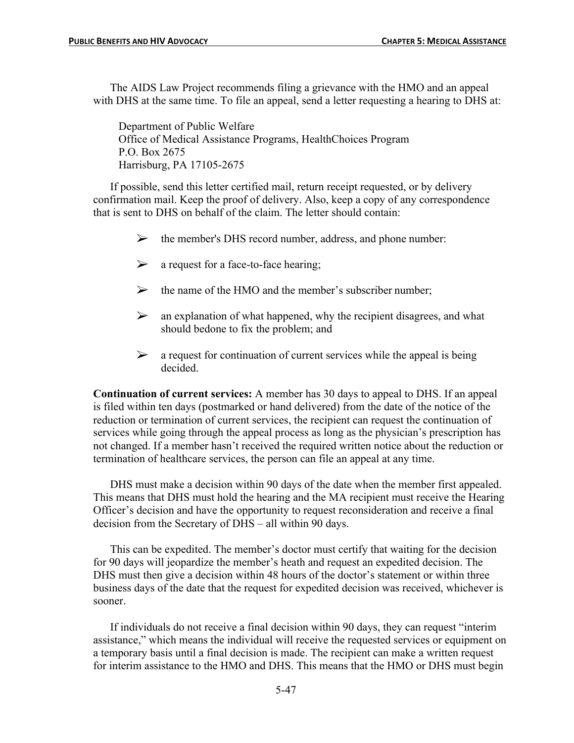The AIDS Law Project recommends filing a grievance with the HMO and an appeal with DHS at the same time. To file an appeal, send a letter requesting a hearing to DHS at:

Department of Public Welfare Office of Medical Assistance Programs, HealthChoices Program P.O. Box 2675 Harrisburg, PA 17105-2675

If possible, send this letter certified mail, return receipt requested, or by delivery confirmation mail. Keep the proof of delivery. Also, keep a copy of any correspondence that is sent to DHS on behalf of the claim. The letter should contain:

- $\triangleright$  the member's DHS record number, address, and phone number:
- $\triangleright$  a request for a face-to-face hearing;
- $\triangleright$  the name of the HMO and the member's subscriber number;
- $\triangleright$  an explanation of what happened, why the recipient disagrees, and what should bedone to fix the problem; and
- $\triangleright$  a request for continuation of current services while the appeal is being decided.

**Continuation of current services:** A member has 30 days to appeal to DHS. If an appeal is filed within ten days (postmarked or hand delivered) from the date of the notice of the reduction or termination of current services, the recipient can request the continuation of services while going through the appeal process as long as the physician's prescription has not changed. If a member hasn't received the required written notice about the reduction or termination of healthcare services, the person can file an appeal at any time.

DHS must make a decision within 90 days of the date when the member first appealed. This means that DHS must hold the hearing and the MA recipient must receive the Hearing Officer's decision and have the opportunity to request reconsideration and receive a final decision from the Secretary of DHS – all within 90 days.

This can be expedited. The member's doctor must certify that waiting for the decision for 90 days will jeopardize the member's heath and request an expedited decision. The DHS must then give a decision within 48 hours of the doctor's statement or within three business days of the date that the request for expedited decision was received, whichever is sooner.

If individuals do not receive a final decision within 90 days, they can request "interim assistance," which means the individual will receive the requested services or equipment on a temporary basis until a final decision is made. The recipient can make a written request for interim assistance to the HMO and DHS. This means that the HMO or DHS must begin